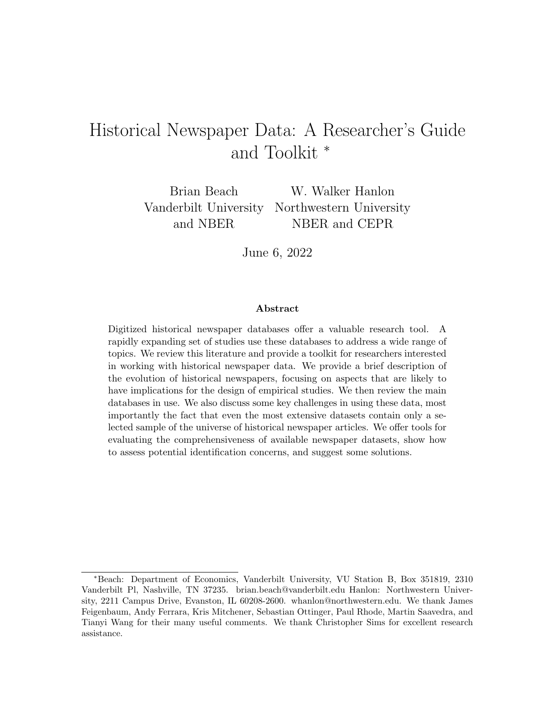# <span id="page-0-0"></span>Historical Newspaper Data: A Researcher's Guide and Toolkit <sup>∗</sup>

Brian Beach W. Walker Hanlon Vanderbilt University Northwestern University and NBER NBER and CEPR

June 6, 2022

#### Abstract

Digitized historical newspaper databases offer a valuable research tool. A rapidly expanding set of studies use these databases to address a wide range of topics. We review this literature and provide a toolkit for researchers interested in working with historical newspaper data. We provide a brief description of the evolution of historical newspapers, focusing on aspects that are likely to have implications for the design of empirical studies. We then review the main databases in use. We also discuss some key challenges in using these data, most importantly the fact that even the most extensive datasets contain only a selected sample of the universe of historical newspaper articles. We offer tools for evaluating the comprehensiveness of available newspaper datasets, show how to assess potential identification concerns, and suggest some solutions.

<sup>∗</sup>Beach: Department of Economics, Vanderbilt University, VU Station B, Box 351819, 2310 Vanderbilt Pl, Nashville, TN 37235. brian.beach@vanderbilt.edu Hanlon: Northwestern University, 2211 Campus Drive, Evanston, IL 60208-2600. whanlon@northwestern.edu. We thank James Feigenbaum, Andy Ferrara, Kris Mitchener, Sebastian Ottinger, Paul Rhode, Martin Saavedra, and Tianyi Wang for their many useful comments. We thank Christopher Sims for excellent research assistance.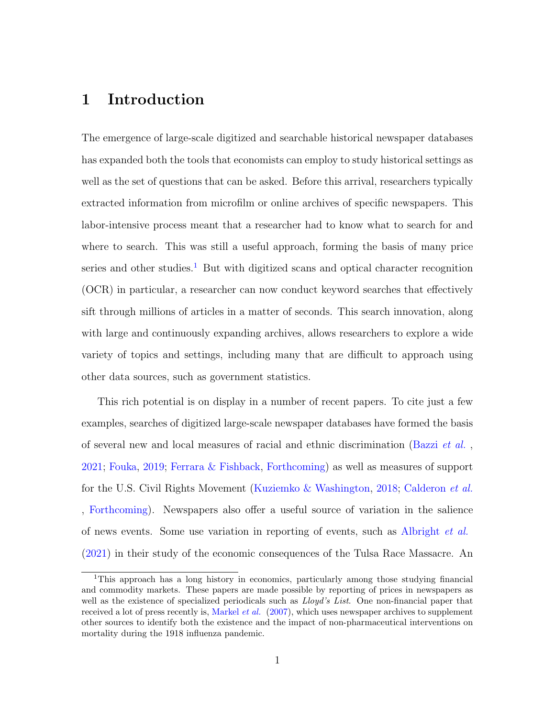### 1 Introduction

The emergence of large-scale digitized and searchable historical newspaper databases has expanded both the tools that economists can employ to study historical settings as well as the set of questions that can be asked. Before this arrival, researchers typically extracted information from microfilm or online archives of specific newspapers. This labor-intensive process meant that a researcher had to know what to search for and where to search. This was still a useful approach, forming the basis of many price series and other studies.<sup>[1](#page-0-0)</sup> But with digitized scans and optical character recognition (OCR) in particular, a researcher can now conduct keyword searches that effectively sift through millions of articles in a matter of seconds. This search innovation, along with large and continuously expanding archives, allows researchers to explore a wide variety of topics and settings, including many that are difficult to approach using other data sources, such as government statistics.

This rich potential is on display in a number of recent papers. To cite just a few examples, searches of digitized large-scale newspaper databases have formed the basis of several new and local measures of racial and ethnic discrimination [\(Bazzi](#page-45-0) et al. , [2021;](#page-45-0) [Fouka,](#page-46-0) [2019;](#page-46-0) [Ferrara & Fishback,](#page-46-1) [Forthcoming\)](#page-46-1) as well as measures of support for the U.S. Civil Rights Movement [\(Kuziemko & Washington,](#page-47-0) [2018;](#page-47-0) [Calderon](#page-45-1) et al. [,](#page-45-1) [Forthcoming\)](#page-45-1). Newspapers also offer a useful source of variation in the salience of news events. Some use variation in reporting of events, such as [Albright](#page-44-0) et al. [\(2021\)](#page-44-0) in their study of the economic consequences of the Tulsa Race Massacre. An

<sup>1</sup>This approach has a long history in economics, particularly among those studying financial and commodity markets. These papers are made possible by reporting of prices in newspapers as well as the existence of specialized periodicals such as  $L\log d$ 's List. One non-financial paper that received a lot of press recently is, [Markel](#page-48-0) *et al.*  $(2007)$ , which uses newspaper archives to supplement other sources to identify both the existence and the impact of non-pharmaceutical interventions on mortality during the 1918 influenza pandemic.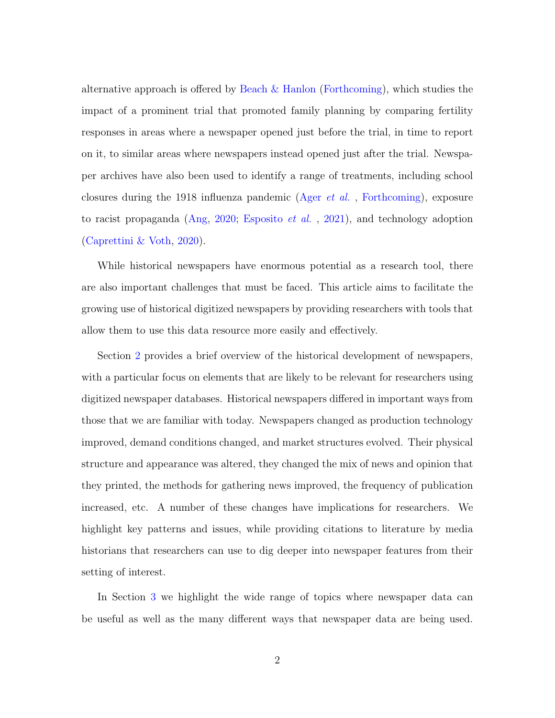alternative approach is offered by [Beach & Hanlon](#page-45-2) [\(Forthcoming\)](#page-45-2), which studies the impact of a prominent trial that promoted family planning by comparing fertility responses in areas where a newspaper opened just before the trial, in time to report on it, to similar areas where newspapers instead opened just after the trial. Newspaper archives have also been used to identify a range of treatments, including school closures during the 1918 influenza pandemic (Ager [et al.](#page-44-1) , [Forthcoming\)](#page-44-1), exposure to racist propaganda [\(Ang,](#page-45-3) [2020;](#page-45-3) [Esposito](#page-46-2) *et al.*, [2021\)](#page-46-2), and technology adoption [\(Caprettini & Voth,](#page-45-4) [2020\)](#page-45-4).

While historical newspapers have enormous potential as a research tool, there are also important challenges that must be faced. This article aims to facilitate the growing use of historical digitized newspapers by providing researchers with tools that allow them to use this data resource more easily and effectively.

Section [2](#page-5-0) provides a brief overview of the historical development of newspapers, with a particular focus on elements that are likely to be relevant for researchers using digitized newspaper databases. Historical newspapers differed in important ways from those that we are familiar with today. Newspapers changed as production technology improved, demand conditions changed, and market structures evolved. Their physical structure and appearance was altered, they changed the mix of news and opinion that they printed, the methods for gathering news improved, the frequency of publication increased, etc. A number of these changes have implications for researchers. We highlight key patterns and issues, while providing citations to literature by media historians that researchers can use to dig deeper into newspaper features from their setting of interest.

In Section [3](#page-12-0) we highlight the wide range of topics where newspaper data can be useful as well as the many different ways that newspaper data are being used.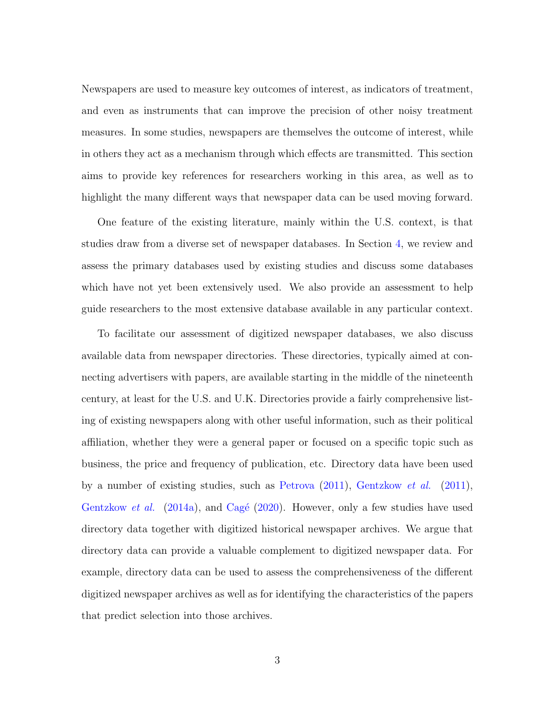Newspapers are used to measure key outcomes of interest, as indicators of treatment, and even as instruments that can improve the precision of other noisy treatment measures. In some studies, newspapers are themselves the outcome of interest, while in others they act as a mechanism through which effects are transmitted. This section aims to provide key references for researchers working in this area, as well as to highlight the many different ways that newspaper data can be used moving forward.

One feature of the existing literature, mainly within the U.S. context, is that studies draw from a diverse set of newspaper databases. In Section [4,](#page-18-0) we review and assess the primary databases used by existing studies and discuss some databases which have not yet been extensively used. We also provide an assessment to help guide researchers to the most extensive database available in any particular context.

To facilitate our assessment of digitized newspaper databases, we also discuss available data from newspaper directories. These directories, typically aimed at connecting advertisers with papers, are available starting in the middle of the nineteenth century, at least for the U.S. and U.K. Directories provide a fairly comprehensive listing of existing newspapers along with other useful information, such as their political affiliation, whether they were a general paper or focused on a specific topic such as business, the price and frequency of publication, etc. Directory data have been used by a number of existing studies, such as [Petrova](#page-48-1)  $(2011)$ , [Gentzkow](#page-46-3) *et al.*  $(2011)$ , [Gentzkow](#page-47-1) *et al.* [\(2014a\)](#page-47-1), and Cagé [\(2020\)](#page-45-5). However, only a few studies have used directory data together with digitized historical newspaper archives. We argue that directory data can provide a valuable complement to digitized newspaper data. For example, directory data can be used to assess the comprehensiveness of the different digitized newspaper archives as well as for identifying the characteristics of the papers that predict selection into those archives.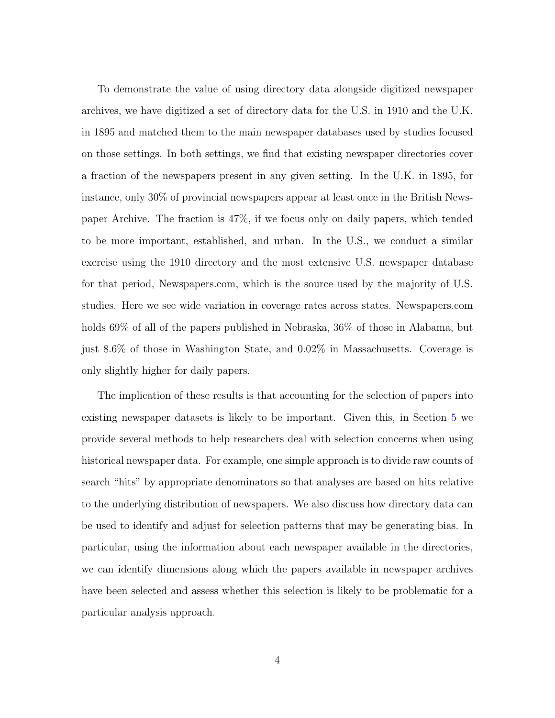To demonstrate the value of using directory data alongside digitized newspaper archives, we have digitized a set of directory data for the U.S. in 1910 and the U.K. in 1895 and matched them to the main newspaper databases used by studies focused on those settings. In both settings, we find that existing newspaper directories cover a fraction of the newspapers present in any given setting. In the U.K. in 1895, for instance, only 30% of provincial newspapers appear at least once in the British Newspaper Archive. The fraction is 47%, if we focus only on daily papers, which tended to be more important, established, and urban. In the U.S., we conduct a similar exercise using the 1910 directory and the most extensive U.S. newspaper database for that period, Newspapers.com, which is the source used by the majority of U.S. studies. Here we see wide variation in coverage rates across states. Newspapers.com holds 69% of all of the papers published in Nebraska, 36% of those in Alabama, but just 8.6% of those in Washington State, and 0.02% in Massachusetts. Coverage is only slightly higher for daily papers.

The implication of these results is that accounting for the selection of papers into existing newspaper datasets is likely to be important. Given this, in Section [5](#page-34-0) we provide several methods to help researchers deal with selection concerns when using historical newspaper data. For example, one simple approach is to divide raw counts of search "hits" by appropriate denominators so that analyses are based on hits relative to the underlying distribution of newspapers. We also discuss how directory data can be used to identify and adjust for selection patterns that may be generating bias. In particular, using the information about each newspaper available in the directories, we can identify dimensions along which the papers available in newspaper archives have been selected and assess whether this selection is likely to be problematic for a particular analysis approach.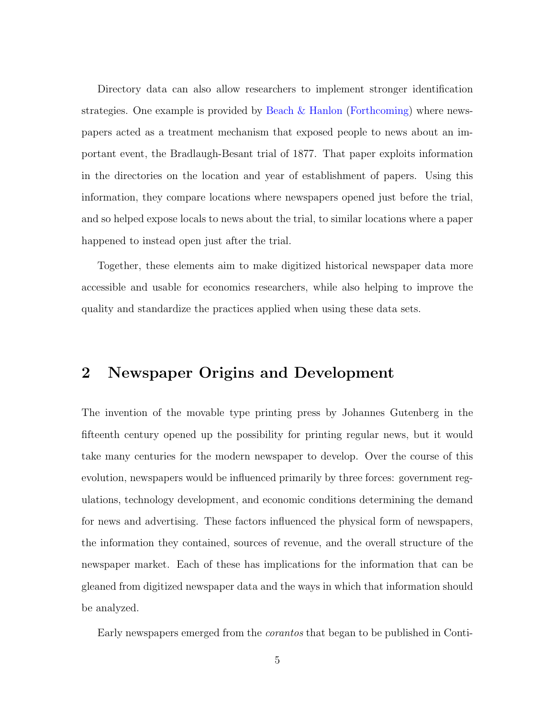Directory data can also allow researchers to implement stronger identification strategies. One example is provided by [Beach & Hanlon](#page-45-2) [\(Forthcoming\)](#page-45-2) where newspapers acted as a treatment mechanism that exposed people to news about an important event, the Bradlaugh-Besant trial of 1877. That paper exploits information in the directories on the location and year of establishment of papers. Using this information, they compare locations where newspapers opened just before the trial, and so helped expose locals to news about the trial, to similar locations where a paper happened to instead open just after the trial.

Together, these elements aim to make digitized historical newspaper data more accessible and usable for economics researchers, while also helping to improve the quality and standardize the practices applied when using these data sets.

## <span id="page-5-0"></span>2 Newspaper Origins and Development

The invention of the movable type printing press by Johannes Gutenberg in the fifteenth century opened up the possibility for printing regular news, but it would take many centuries for the modern newspaper to develop. Over the course of this evolution, newspapers would be influenced primarily by three forces: government regulations, technology development, and economic conditions determining the demand for news and advertising. These factors influenced the physical form of newspapers, the information they contained, sources of revenue, and the overall structure of the newspaper market. Each of these has implications for the information that can be gleaned from digitized newspaper data and the ways in which that information should be analyzed.

Early newspapers emerged from the corantos that began to be published in Conti-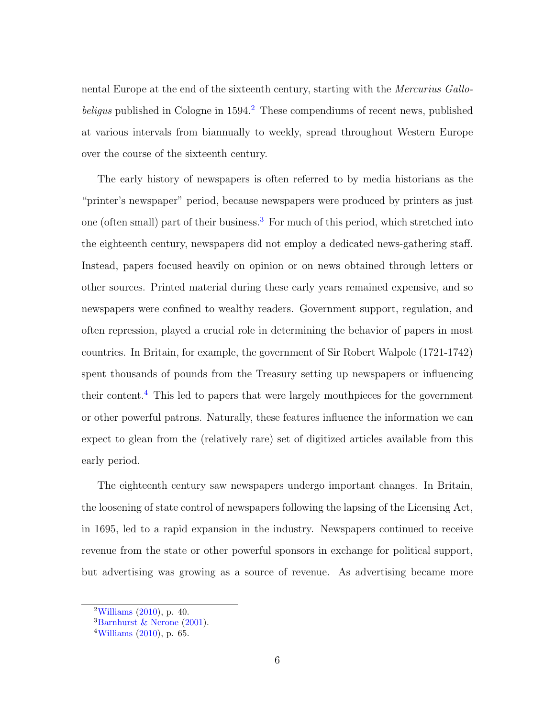nental Europe at the end of the sixteenth century, starting with the Mercurius Gallobeligus published in Cologne in  $1594<sup>2</sup>$  $1594<sup>2</sup>$  $1594<sup>2</sup>$ . These compendiums of recent news, published at various intervals from biannually to weekly, spread throughout Western Europe over the course of the sixteenth century.

The early history of newspapers is often referred to by media historians as the "printer's newspaper" period, because newspapers were produced by printers as just one (often small) part of their business.<sup>[3](#page-0-0)</sup> For much of this period, which stretched into the eighteenth century, newspapers did not employ a dedicated news-gathering staff. Instead, papers focused heavily on opinion or on news obtained through letters or other sources. Printed material during these early years remained expensive, and so newspapers were confined to wealthy readers. Government support, regulation, and often repression, played a crucial role in determining the behavior of papers in most countries. In Britain, for example, the government of Sir Robert Walpole (1721-1742) spent thousands of pounds from the Treasury setting up newspapers or influencing their content.[4](#page-0-0) This led to papers that were largely mouthpieces for the government or other powerful patrons. Naturally, these features influence the information we can expect to glean from the (relatively rare) set of digitized articles available from this early period.

The eighteenth century saw newspapers undergo important changes. In Britain, the loosening of state control of newspapers following the lapsing of the Licensing Act, in 1695, led to a rapid expansion in the industry. Newspapers continued to receive revenue from the state or other powerful sponsors in exchange for political support, but advertising was growing as a source of revenue. As advertising became more

 $2$ [Williams](#page-49-0) [\(2010\)](#page-49-0), p. 40.

<sup>&</sup>lt;sup>3</sup>[Barnhurst & Nerone](#page-45-6) [\(2001\)](#page-45-6).

 $4$ [Williams](#page-49-0) [\(2010\)](#page-49-0), p. 65.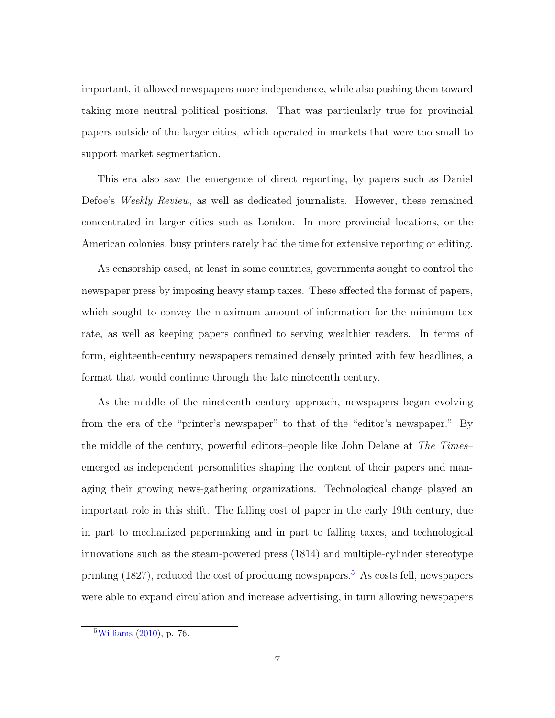important, it allowed newspapers more independence, while also pushing them toward taking more neutral political positions. That was particularly true for provincial papers outside of the larger cities, which operated in markets that were too small to support market segmentation.

This era also saw the emergence of direct reporting, by papers such as Daniel Defoe's Weekly Review, as well as dedicated journalists. However, these remained concentrated in larger cities such as London. In more provincial locations, or the American colonies, busy printers rarely had the time for extensive reporting or editing.

As censorship eased, at least in some countries, governments sought to control the newspaper press by imposing heavy stamp taxes. These affected the format of papers, which sought to convey the maximum amount of information for the minimum tax rate, as well as keeping papers confined to serving wealthier readers. In terms of form, eighteenth-century newspapers remained densely printed with few headlines, a format that would continue through the late nineteenth century.

As the middle of the nineteenth century approach, newspapers began evolving from the era of the "printer's newspaper" to that of the "editor's newspaper." By the middle of the century, powerful editors–people like John Delane at The Times– emerged as independent personalities shaping the content of their papers and managing their growing news-gathering organizations. Technological change played an important role in this shift. The falling cost of paper in the early 19th century, due in part to mechanized papermaking and in part to falling taxes, and technological innovations such as the steam-powered press (1814) and multiple-cylinder stereotype printing  $(1827)$ , reduced the cost of producing newspapers.<sup>[5](#page-0-0)</sup> As costs fell, newspapers were able to expand circulation and increase advertising, in turn allowing newspapers

 $5$ [Williams](#page-49-0) [\(2010\)](#page-49-0), p. 76.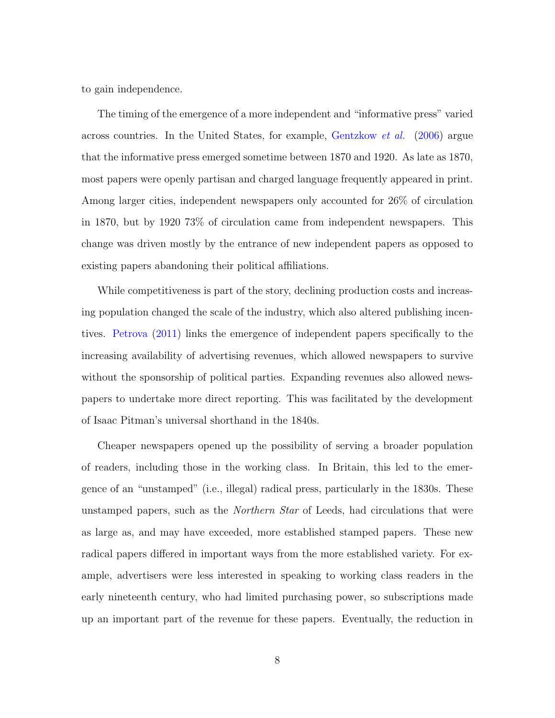to gain independence.

The timing of the emergence of a more independent and "informative press" varied across countries. In the United States, for example, [Gentzkow](#page-46-4) et al. [\(2006\)](#page-46-4) argue that the informative press emerged sometime between 1870 and 1920. As late as 1870, most papers were openly partisan and charged language frequently appeared in print. Among larger cities, independent newspapers only accounted for 26% of circulation in 1870, but by 1920 73% of circulation came from independent newspapers. This change was driven mostly by the entrance of new independent papers as opposed to existing papers abandoning their political affiliations.

While competitiveness is part of the story, declining production costs and increasing population changed the scale of the industry, which also altered publishing incentives. [Petrova](#page-48-1) [\(2011\)](#page-48-1) links the emergence of independent papers specifically to the increasing availability of advertising revenues, which allowed newspapers to survive without the sponsorship of political parties. Expanding revenues also allowed newspapers to undertake more direct reporting. This was facilitated by the development of Isaac Pitman's universal shorthand in the 1840s.

Cheaper newspapers opened up the possibility of serving a broader population of readers, including those in the working class. In Britain, this led to the emergence of an "unstamped" (i.e., illegal) radical press, particularly in the 1830s. These unstamped papers, such as the *Northern Star* of Leeds, had circulations that were as large as, and may have exceeded, more established stamped papers. These new radical papers differed in important ways from the more established variety. For example, advertisers were less interested in speaking to working class readers in the early nineteenth century, who had limited purchasing power, so subscriptions made up an important part of the revenue for these papers. Eventually, the reduction in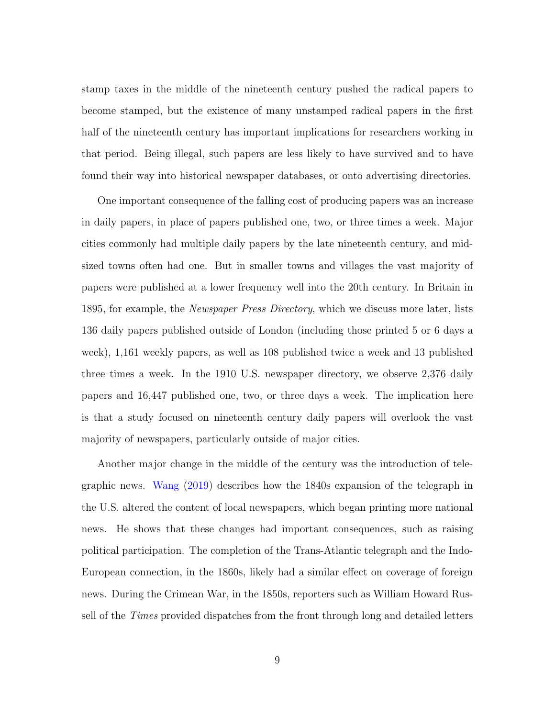stamp taxes in the middle of the nineteenth century pushed the radical papers to become stamped, but the existence of many unstamped radical papers in the first half of the nineteenth century has important implications for researchers working in that period. Being illegal, such papers are less likely to have survived and to have found their way into historical newspaper databases, or onto advertising directories.

One important consequence of the falling cost of producing papers was an increase in daily papers, in place of papers published one, two, or three times a week. Major cities commonly had multiple daily papers by the late nineteenth century, and midsized towns often had one. But in smaller towns and villages the vast majority of papers were published at a lower frequency well into the 20th century. In Britain in 1895, for example, the *Newspaper Press Directory*, which we discuss more later, lists 136 daily papers published outside of London (including those printed 5 or 6 days a week), 1,161 weekly papers, as well as 108 published twice a week and 13 published three times a week. In the 1910 U.S. newspaper directory, we observe 2,376 daily papers and 16,447 published one, two, or three days a week. The implication here is that a study focused on nineteenth century daily papers will overlook the vast majority of newspapers, particularly outside of major cities.

Another major change in the middle of the century was the introduction of telegraphic news. [Wang](#page-49-1) [\(2019\)](#page-49-1) describes how the 1840s expansion of the telegraph in the U.S. altered the content of local newspapers, which began printing more national news. He shows that these changes had important consequences, such as raising political participation. The completion of the Trans-Atlantic telegraph and the Indo-European connection, in the 1860s, likely had a similar effect on coverage of foreign news. During the Crimean War, in the 1850s, reporters such as William Howard Russell of the *Times* provided dispatches from the front through long and detailed letters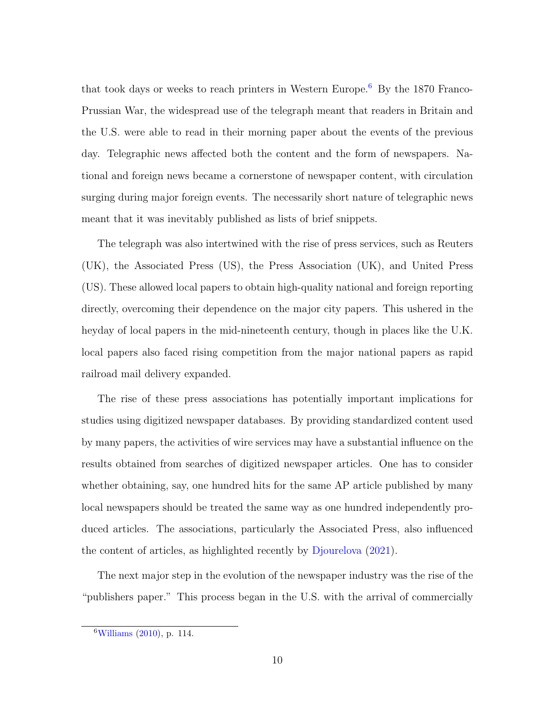that took days or weeks to reach printers in Western Europe.[6](#page-0-0) By the 1870 Franco-Prussian War, the widespread use of the telegraph meant that readers in Britain and the U.S. were able to read in their morning paper about the events of the previous day. Telegraphic news affected both the content and the form of newspapers. National and foreign news became a cornerstone of newspaper content, with circulation surging during major foreign events. The necessarily short nature of telegraphic news meant that it was inevitably published as lists of brief snippets.

The telegraph was also intertwined with the rise of press services, such as Reuters (UK), the Associated Press (US), the Press Association (UK), and United Press (US). These allowed local papers to obtain high-quality national and foreign reporting directly, overcoming their dependence on the major city papers. This ushered in the heyday of local papers in the mid-nineteenth century, though in places like the U.K. local papers also faced rising competition from the major national papers as rapid railroad mail delivery expanded.

The rise of these press associations has potentially important implications for studies using digitized newspaper databases. By providing standardized content used by many papers, the activities of wire services may have a substantial influence on the results obtained from searches of digitized newspaper articles. One has to consider whether obtaining, say, one hundred hits for the same AP article published by many local newspapers should be treated the same way as one hundred independently produced articles. The associations, particularly the Associated Press, also influenced the content of articles, as highlighted recently by [Djourelova](#page-46-5) [\(2021\)](#page-46-5).

The next major step in the evolution of the newspaper industry was the rise of the "publishers paper." This process began in the U.S. with the arrival of commercially

 $6$ [Williams](#page-49-0) [\(2010\)](#page-49-0), p. 114.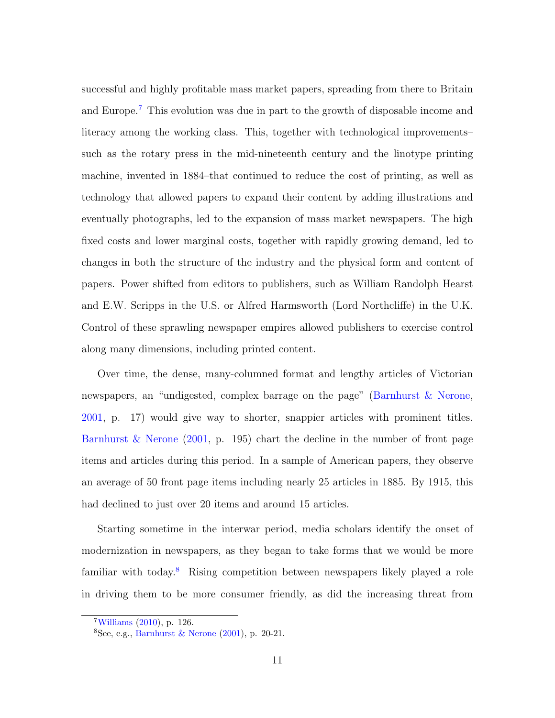successful and highly profitable mass market papers, spreading from there to Britain and Europe.[7](#page-0-0) This evolution was due in part to the growth of disposable income and literacy among the working class. This, together with technological improvements– such as the rotary press in the mid-nineteenth century and the linotype printing machine, invented in 1884–that continued to reduce the cost of printing, as well as technology that allowed papers to expand their content by adding illustrations and eventually photographs, led to the expansion of mass market newspapers. The high fixed costs and lower marginal costs, together with rapidly growing demand, led to changes in both the structure of the industry and the physical form and content of papers. Power shifted from editors to publishers, such as William Randolph Hearst and E.W. Scripps in the U.S. or Alfred Harmsworth (Lord Northcliffe) in the U.K. Control of these sprawling newspaper empires allowed publishers to exercise control along many dimensions, including printed content.

Over time, the dense, many-columned format and lengthy articles of Victorian newspapers, an "undigested, complex barrage on the page" [\(Barnhurst & Nerone,](#page-45-6) [2001,](#page-45-6) p. 17) would give way to shorter, snappier articles with prominent titles. [Barnhurst & Nerone](#page-45-6)  $(2001, p. 195)$  $(2001, p. 195)$  chart the decline in the number of front page items and articles during this period. In a sample of American papers, they observe an average of 50 front page items including nearly 25 articles in 1885. By 1915, this had declined to just over 20 items and around 15 articles.

Starting sometime in the interwar period, media scholars identify the onset of modernization in newspapers, as they began to take forms that we would be more familiar with today.[8](#page-0-0) Rising competition between newspapers likely played a role in driving them to be more consumer friendly, as did the increasing threat from

 $7$ [Williams](#page-49-0) [\(2010\)](#page-49-0), p. 126.

 $8$ See, e.g., [Barnhurst & Nerone](#page-45-6) [\(2001\)](#page-45-6), p. 20-21.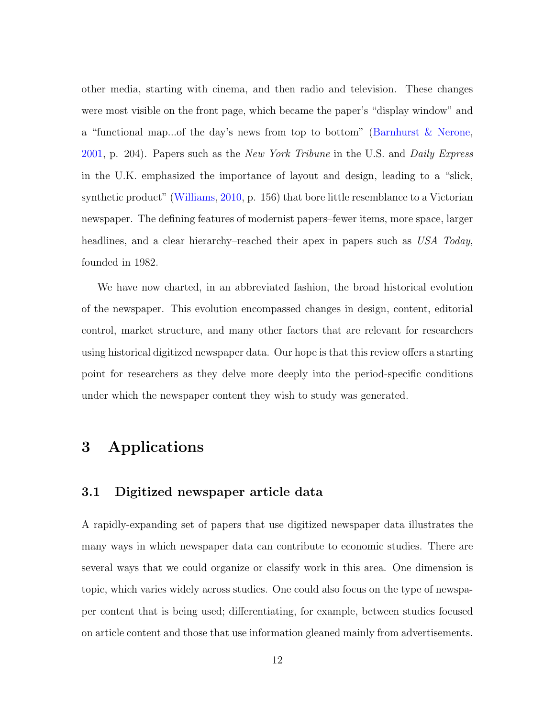other media, starting with cinema, and then radio and television. These changes were most visible on the front page, which became the paper's "display window" and a "functional map...of the day's news from top to bottom" [\(Barnhurst & Nerone,](#page-45-6) [2001,](#page-45-6) p. 204). Papers such as the New York Tribune in the U.S. and Daily Express in the U.K. emphasized the importance of layout and design, leading to a "slick, synthetic product" [\(Williams,](#page-49-0) [2010,](#page-49-0) p. 156) that bore little resemblance to a Victorian newspaper. The defining features of modernist papers–fewer items, more space, larger headlines, and a clear hierarchy–reached their apex in papers such as USA Today, founded in 1982.

We have now charted, in an abbreviated fashion, the broad historical evolution of the newspaper. This evolution encompassed changes in design, content, editorial control, market structure, and many other factors that are relevant for researchers using historical digitized newspaper data. Our hope is that this review offers a starting point for researchers as they delve more deeply into the period-specific conditions under which the newspaper content they wish to study was generated.

# <span id="page-12-0"></span>3 Applications

#### 3.1 Digitized newspaper article data

A rapidly-expanding set of papers that use digitized newspaper data illustrates the many ways in which newspaper data can contribute to economic studies. There are several ways that we could organize or classify work in this area. One dimension is topic, which varies widely across studies. One could also focus on the type of newspaper content that is being used; differentiating, for example, between studies focused on article content and those that use information gleaned mainly from advertisements.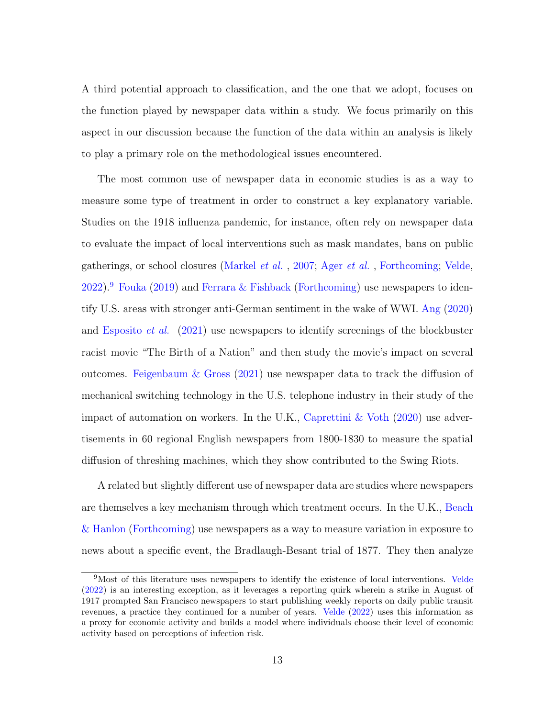A third potential approach to classification, and the one that we adopt, focuses on the function played by newspaper data within a study. We focus primarily on this aspect in our discussion because the function of the data within an analysis is likely to play a primary role on the methodological issues encountered.

The most common use of newspaper data in economic studies is as a way to measure some type of treatment in order to construct a key explanatory variable. Studies on the 1918 influenza pandemic, for instance, often rely on newspaper data to evaluate the impact of local interventions such as mask mandates, bans on public gatherings, or school closures [\(Markel](#page-48-0) et al. , [2007;](#page-48-0) Ager [et al.](#page-44-1) , [Forthcoming;](#page-44-1) [Velde,](#page-48-2)  $2022$ ).<sup>[9](#page-0-0)</sup> [Fouka](#page-46-0) [\(2019\)](#page-46-0) and [Ferrara & Fishback](#page-46-1) [\(Forthcoming\)](#page-46-1) use newspapers to identify U.S. areas with stronger anti-German sentiment in the wake of WWI. [Ang](#page-45-3) [\(2020\)](#page-45-3) and [Esposito](#page-46-2) *et al.* [\(2021\)](#page-46-2) use newspapers to identify screenings of the blockbuster racist movie "The Birth of a Nation" and then study the movie's impact on several outcomes. Feigenbaum  $\&$  Gross [\(2021\)](#page-46-6) use newspaper data to track the diffusion of mechanical switching technology in the U.S. telephone industry in their study of the impact of automation on workers. In the U.K., Caprettini  $&$  Voth [\(2020\)](#page-45-4) use advertisements in 60 regional English newspapers from 1800-1830 to measure the spatial diffusion of threshing machines, which they show contributed to the Swing Riots.

A related but slightly different use of newspaper data are studies where newspapers are themselves a key mechanism through which treatment occurs. In the U.K., [Beach](#page-45-2) [& Hanlon](#page-45-2) [\(Forthcoming\)](#page-45-2) use newspapers as a way to measure variation in exposure to news about a specific event, the Bradlaugh-Besant trial of 1877. They then analyze

<sup>&</sup>lt;sup>9</sup>Most of this literature uses newspapers to identify the existence of local interventions. [Velde](#page-48-2) [\(2022\)](#page-48-2) is an interesting exception, as it leverages a reporting quirk wherein a strike in August of 1917 prompted San Francisco newspapers to start publishing weekly reports on daily public transit revenues, a practice they continued for a number of years. [Velde](#page-48-2) [\(2022\)](#page-48-2) uses this information as a proxy for economic activity and builds a model where individuals choose their level of economic activity based on perceptions of infection risk.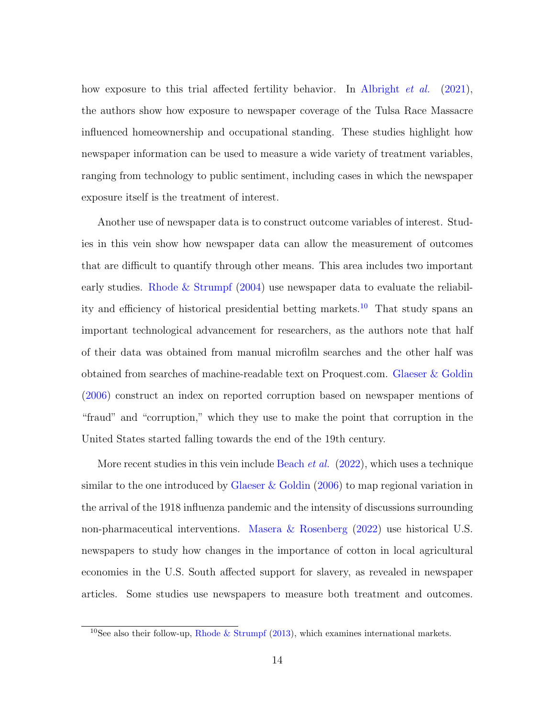how exposure to this trial affected fertility behavior. In [Albright](#page-44-0) *et al.* [\(2021\)](#page-44-0), the authors show how exposure to newspaper coverage of the Tulsa Race Massacre influenced homeownership and occupational standing. These studies highlight how newspaper information can be used to measure a wide variety of treatment variables, ranging from technology to public sentiment, including cases in which the newspaper exposure itself is the treatment of interest.

Another use of newspaper data is to construct outcome variables of interest. Studies in this vein show how newspaper data can allow the measurement of outcomes that are difficult to quantify through other means. This area includes two important early studies. [Rhode & Strumpf](#page-48-3) [\(2004\)](#page-48-3) use newspaper data to evaluate the reliabil-ity and efficiency of historical presidential betting markets.<sup>[10](#page-0-0)</sup> That study spans an important technological advancement for researchers, as the authors note that half of their data was obtained from manual microfilm searches and the other half was obtained from searches of machine-readable text on Proquest.com. [Glaeser & Goldin](#page-47-2) [\(2006\)](#page-47-2) construct an index on reported corruption based on newspaper mentions of "fraud" and "corruption," which they use to make the point that corruption in the United States started falling towards the end of the 19th century.

More recent studies in this vein include [Beach](#page-45-7) *et al.*  $(2022)$ , which uses a technique similar to the one introduced by [Glaeser & Goldin](#page-47-2) [\(2006\)](#page-47-2) to map regional variation in the arrival of the 1918 influenza pandemic and the intensity of discussions surrounding non-pharmaceutical interventions. [Masera & Rosenberg](#page-48-4) [\(2022\)](#page-48-4) use historical U.S. newspapers to study how changes in the importance of cotton in local agricultural economies in the U.S. South affected support for slavery, as revealed in newspaper articles. Some studies use newspapers to measure both treatment and outcomes.

<sup>&</sup>lt;sup>10</sup>See also their follow-up, [Rhode & Strumpf](#page-48-5) [\(2013\)](#page-48-5), which examines international markets.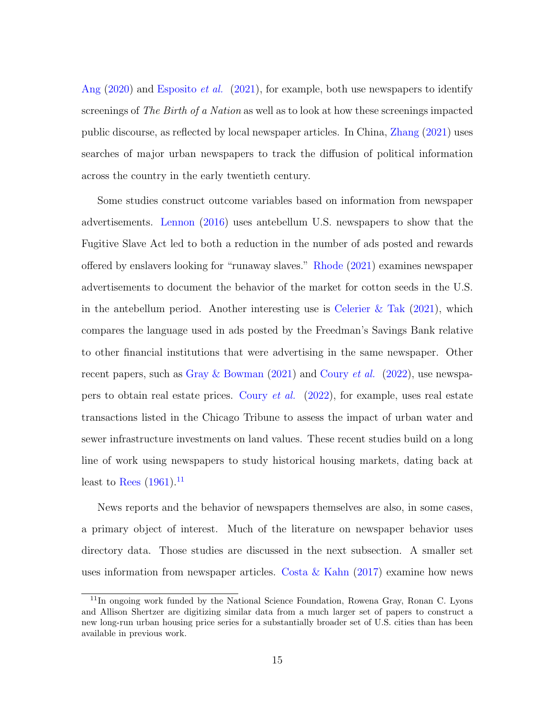[Ang](#page-45-3) [\(2020\)](#page-45-3) and [Esposito](#page-46-2) et al. [\(2021\)](#page-46-2), for example, both use newspapers to identify screenings of The Birth of a Nation as well as to look at how these screenings impacted public discourse, as reflected by local newspaper articles. In China, [Zhang](#page-49-2) [\(2021\)](#page-49-2) uses searches of major urban newspapers to track the diffusion of political information across the country in the early twentieth century.

Some studies construct outcome variables based on information from newspaper advertisements. [Lennon](#page-47-3) [\(2016\)](#page-47-3) uses antebellum U.S. newspapers to show that the Fugitive Slave Act led to both a reduction in the number of ads posted and rewards offered by enslavers looking for "runaway slaves." [Rhode](#page-48-6) [\(2021\)](#page-48-6) examines newspaper advertisements to document the behavior of the market for cotton seeds in the U.S. in the antebellum period. Another interesting use is Celerier  $\&$  Tak [\(2021\)](#page-45-8), which compares the language used in ads posted by the Freedman's Savings Bank relative to other financial institutions that were advertising in the same newspaper. Other recent papers, such as [Gray & Bowman](#page-47-4) [\(2021\)](#page-47-4) and [Coury](#page-46-7) *et al.* [\(2022\)](#page-46-7), use newspapers to obtain real estate prices. [Coury](#page-46-7) et al. [\(2022\)](#page-46-7), for example, uses real estate transactions listed in the Chicago Tribune to assess the impact of urban water and sewer infrastructure investments on land values. These recent studies build on a long line of work using newspapers to study historical housing markets, dating back at least to [Rees](#page-48-7)  $(1961).$  $(1961).$ <sup>[11](#page-0-0)</sup>

News reports and the behavior of newspapers themselves are also, in some cases, a primary object of interest. Much of the literature on newspaper behavior uses directory data. Those studies are discussed in the next subsection. A smaller set uses information from newspaper articles. Costa  $\&$  Kahn [\(2017\)](#page-46-8) examine how news

<sup>11</sup>In ongoing work funded by the National Science Foundation, Rowena Gray, Ronan C. Lyons and Allison Shertzer are digitizing similar data from a much larger set of papers to construct a new long-run urban housing price series for a substantially broader set of U.S. cities than has been available in previous work.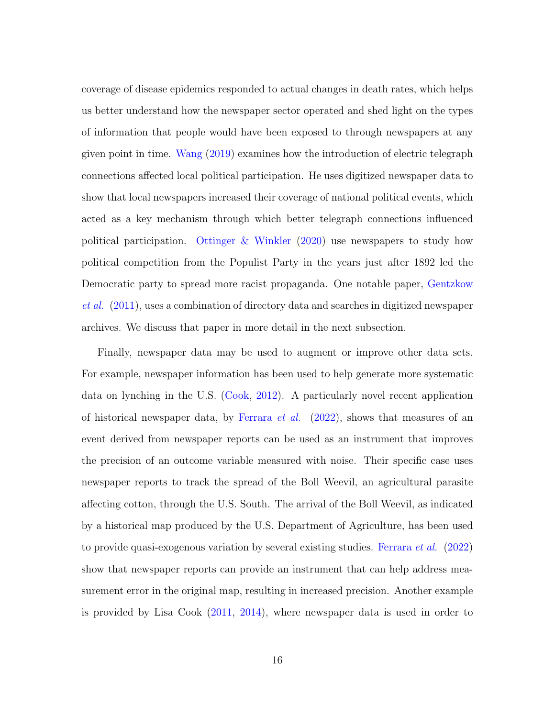coverage of disease epidemics responded to actual changes in death rates, which helps us better understand how the newspaper sector operated and shed light on the types of information that people would have been exposed to through newspapers at any given point in time. [Wang](#page-49-1) [\(2019\)](#page-49-1) examines how the introduction of electric telegraph connections affected local political participation. He uses digitized newspaper data to show that local newspapers increased their coverage of national political events, which acted as a key mechanism through which better telegraph connections influenced political participation. [Ottinger & Winkler](#page-48-8) [\(2020\)](#page-48-8) use newspapers to study how political competition from the Populist Party in the years just after 1892 led the Democratic party to spread more racist propaganda. One notable paper, [Gentzkow](#page-46-3) [et al.](#page-46-3) [\(2011\)](#page-46-3), uses a combination of directory data and searches in digitized newspaper archives. We discuss that paper in more detail in the next subsection.

Finally, newspaper data may be used to augment or improve other data sets. For example, newspaper information has been used to help generate more systematic data on lynching in the U.S. [\(Cook,](#page-45-9) [2012\)](#page-45-9). A particularly novel recent application of historical newspaper data, by [Ferrara](#page-46-9) *et al.* [\(2022\)](#page-46-9), shows that measures of an event derived from newspaper reports can be used as an instrument that improves the precision of an outcome variable measured with noise. Their specific case uses newspaper reports to track the spread of the Boll Weevil, an agricultural parasite affecting cotton, through the U.S. South. The arrival of the Boll Weevil, as indicated by a historical map produced by the U.S. Department of Agriculture, has been used to provide quasi-exogenous variation by several existing studies. [Ferrara](#page-46-9) *et al.* [\(2022\)](#page-46-9) show that newspaper reports can provide an instrument that can help address measurement error in the original map, resulting in increased precision. Another example is provided by Lisa Cook [\(2011,](#page-45-10) [2014\)](#page-45-11), where newspaper data is used in order to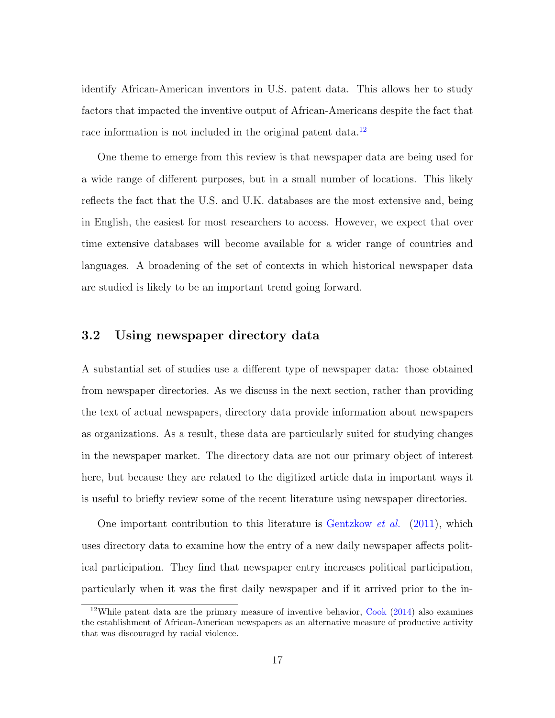identify African-American inventors in U.S. patent data. This allows her to study factors that impacted the inventive output of African-Americans despite the fact that race information is not included in the original patent data.<sup>[12](#page-0-0)</sup>

One theme to emerge from this review is that newspaper data are being used for a wide range of different purposes, but in a small number of locations. This likely reflects the fact that the U.S. and U.K. databases are the most extensive and, being in English, the easiest for most researchers to access. However, we expect that over time extensive databases will become available for a wider range of countries and languages. A broadening of the set of contexts in which historical newspaper data are studied is likely to be an important trend going forward.

#### 3.2 Using newspaper directory data

A substantial set of studies use a different type of newspaper data: those obtained from newspaper directories. As we discuss in the next section, rather than providing the text of actual newspapers, directory data provide information about newspapers as organizations. As a result, these data are particularly suited for studying changes in the newspaper market. The directory data are not our primary object of interest here, but because they are related to the digitized article data in important ways it is useful to briefly review some of the recent literature using newspaper directories.

One important contribution to this literature is [Gentzkow](#page-46-3) et al. [\(2011\)](#page-46-3), which uses directory data to examine how the entry of a new daily newspaper affects political participation. They find that newspaper entry increases political participation, particularly when it was the first daily newspaper and if it arrived prior to the in-

<sup>12</sup>While patent data are the primary measure of inventive behavior, [Cook](#page-45-11) [\(2014\)](#page-45-11) also examines the establishment of African-American newspapers as an alternative measure of productive activity that was discouraged by racial violence.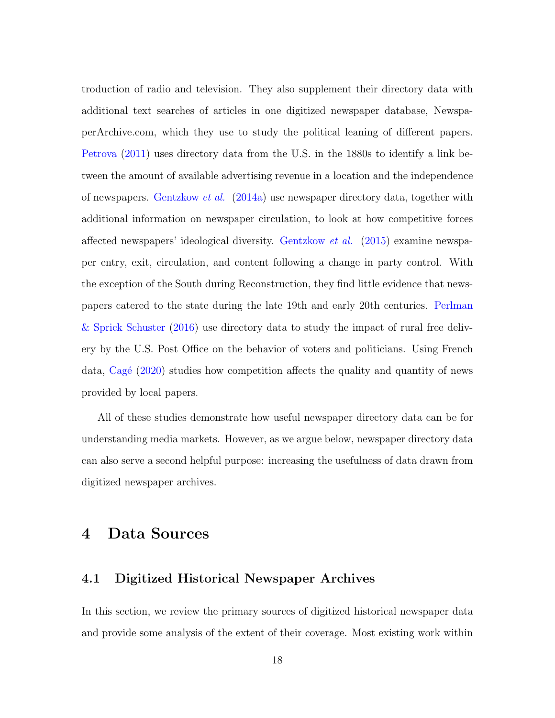troduction of radio and television. They also supplement their directory data with additional text searches of articles in one digitized newspaper database, NewspaperArchive.com, which they use to study the political leaning of different papers. [Petrova](#page-48-1) [\(2011\)](#page-48-1) uses directory data from the U.S. in the 1880s to identify a link between the amount of available advertising revenue in a location and the independence of newspapers. [Gentzkow](#page-47-1) *et al.* [\(2014a\)](#page-47-1) use newspaper directory data, together with additional information on newspaper circulation, to look at how competitive forces affected newspapers' ideological diversity. [Gentzkow](#page-47-5) et al. [\(2015\)](#page-47-5) examine newspaper entry, exit, circulation, and content following a change in party control. With the exception of the South during Reconstruction, they find little evidence that newspapers catered to the state during the late 19th and early 20th centuries. [Perlman](#page-48-9) [& Sprick Schuster](#page-48-9) [\(2016\)](#page-48-9) use directory data to study the impact of rural free delivery by the U.S. Post Office on the behavior of voters and politicians. Using French data,  $Cagé (2020)$  $Cagé (2020)$  studies how competition affects the quality and quantity of news provided by local papers.

All of these studies demonstrate how useful newspaper directory data can be for understanding media markets. However, as we argue below, newspaper directory data can also serve a second helpful purpose: increasing the usefulness of data drawn from digitized newspaper archives.

# <span id="page-18-0"></span>4 Data Sources

#### 4.1 Digitized Historical Newspaper Archives

In this section, we review the primary sources of digitized historical newspaper data and provide some analysis of the extent of their coverage. Most existing work within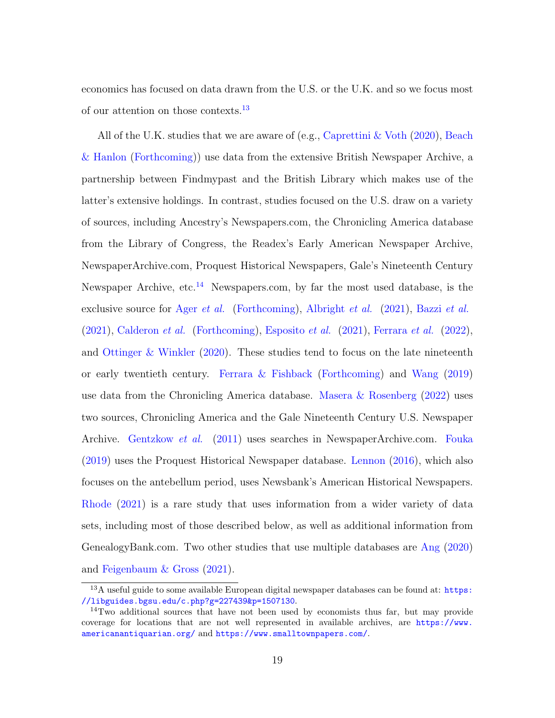economics has focused on data drawn from the U.S. or the U.K. and so we focus most of our attention on those contexts.[13](#page-0-0)

All of the U.K. studies that we are aware of (e.g., [Caprettini & Voth](#page-45-4) [\(2020\)](#page-45-4), [Beach](#page-45-2) [& Hanlon](#page-45-2) [\(Forthcoming\)](#page-45-2)) use data from the extensive British Newspaper Archive, a partnership between Findmypast and the British Library which makes use of the latter's extensive holdings. In contrast, studies focused on the U.S. draw on a variety of sources, including Ancestry's Newspapers.com, the Chronicling America database from the Library of Congress, the Readex's Early American Newspaper Archive, NewspaperArchive.com, Proquest Historical Newspapers, Gale's Nineteenth Century Newspaper Archive, etc.<sup>[14](#page-0-0)</sup> Newspapers.com, by far the most used database, is the exclusive source for Ager *[et al.](#page-44-1)* [\(Forthcoming\)](#page-44-1), [Albright](#page-44-0) *et al.* [\(2021\)](#page-44-0), [Bazzi](#page-45-0) *et al.*  $(2021)$ , [Calderon](#page-45-1) *et al.* [\(Forthcoming\)](#page-45-1), [Esposito](#page-46-2) *et al.*  $(2021)$ , [Ferrara](#page-46-9) *et al.*  $(2022)$ , and [Ottinger & Winkler](#page-48-8) [\(2020\)](#page-48-8). These studies tend to focus on the late nineteenth or early twentieth century. [Ferrara & Fishback](#page-46-1) [\(Forthcoming\)](#page-46-1) and [Wang](#page-49-1) [\(2019\)](#page-49-1) use data from the Chronicling America database. [Masera & Rosenberg](#page-48-4) [\(2022\)](#page-48-4) uses two sources, Chronicling America and the Gale Nineteenth Century U.S. Newspaper Archive. [Gentzkow](#page-46-3) et al. [\(2011\)](#page-46-3) uses searches in NewspaperArchive.com. [Fouka](#page-46-0) [\(2019\)](#page-46-0) uses the Proquest Historical Newspaper database. [Lennon](#page-47-3) [\(2016\)](#page-47-3), which also focuses on the antebellum period, uses Newsbank's American Historical Newspapers. [Rhode](#page-48-6) [\(2021\)](#page-48-6) is a rare study that uses information from a wider variety of data sets, including most of those described below, as well as additional information from GenealogyBank.com. Two other studies that use multiple databases are [Ang](#page-45-3) [\(2020\)](#page-45-3) and [Feigenbaum & Gross](#page-46-6) [\(2021\)](#page-46-6).

 $13A$  useful guide to some available European digital newspaper databases can be found at: [https:](https://libguides.bgsu.edu/c.php?g=227439&p=1507130) [//libguides.bgsu.edu/c.php?g=227439&p=1507130](https://libguides.bgsu.edu/c.php?g=227439&p=1507130).

<sup>14</sup>Two additional sources that have not been used by economists thus far, but may provide coverage for locations that are not well represented in available archives, are [https://www.](https://www.americanantiquarian.org/) [americanantiquarian.org/](https://www.americanantiquarian.org/) and <https://www.smalltownpapers.com/>.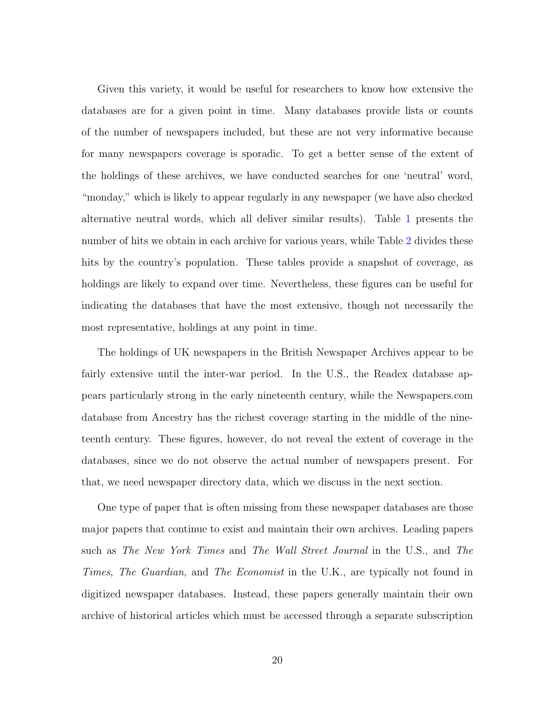Given this variety, it would be useful for researchers to know how extensive the databases are for a given point in time. Many databases provide lists or counts of the number of newspapers included, but these are not very informative because for many newspapers coverage is sporadic. To get a better sense of the extent of the holdings of these archives, we have conducted searches for one 'neutral' word, "monday," which is likely to appear regularly in any newspaper (we have also checked alternative neutral words, which all deliver similar results). Table [1](#page-22-0) presents the number of hits we obtain in each archive for various years, while Table [2](#page-23-0) divides these hits by the country's population. These tables provide a snapshot of coverage, as holdings are likely to expand over time. Nevertheless, these figures can be useful for indicating the databases that have the most extensive, though not necessarily the most representative, holdings at any point in time.

The holdings of UK newspapers in the British Newspaper Archives appear to be fairly extensive until the inter-war period. In the U.S., the Readex database appears particularly strong in the early nineteenth century, while the Newspapers.com database from Ancestry has the richest coverage starting in the middle of the nineteenth century. These figures, however, do not reveal the extent of coverage in the databases, since we do not observe the actual number of newspapers present. For that, we need newspaper directory data, which we discuss in the next section.

One type of paper that is often missing from these newspaper databases are those major papers that continue to exist and maintain their own archives. Leading papers such as The New York Times and The Wall Street Journal in the U.S., and The Times, The Guardian, and The Economist in the U.K., are typically not found in digitized newspaper databases. Instead, these papers generally maintain their own archive of historical articles which must be accessed through a separate subscription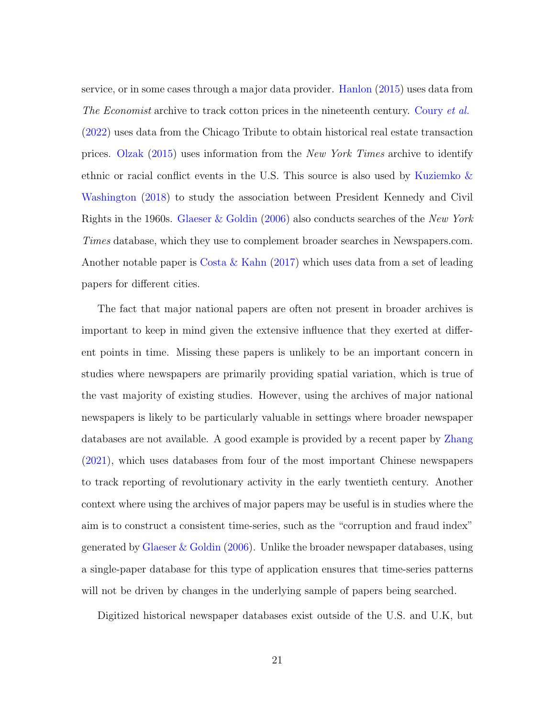service, or in some cases through a major data provider. [Hanlon](#page-47-6) [\(2015\)](#page-47-6) uses data from The Economist archive to track cotton prices in the nineteenth century. [Coury](#page-46-7) et al. [\(2022\)](#page-46-7) uses data from the Chicago Tribute to obtain historical real estate transaction prices. [Olzak](#page-48-10) [\(2015\)](#page-48-10) uses information from the New York Times archive to identify ethnic or racial conflict events in the U.S. This source is also used by [Kuziemko &](#page-47-0) [Washington](#page-47-0) [\(2018\)](#page-47-0) to study the association between President Kennedy and Civil Rights in the 1960s. [Glaeser & Goldin](#page-47-2) [\(2006\)](#page-47-2) also conducts searches of the New York Times database, which they use to complement broader searches in Newspapers.com. Another notable paper is [Costa & Kahn](#page-46-8) [\(2017\)](#page-46-8) which uses data from a set of leading papers for different cities.

The fact that major national papers are often not present in broader archives is important to keep in mind given the extensive influence that they exerted at different points in time. Missing these papers is unlikely to be an important concern in studies where newspapers are primarily providing spatial variation, which is true of the vast majority of existing studies. However, using the archives of major national newspapers is likely to be particularly valuable in settings where broader newspaper databases are not available. A good example is provided by a recent paper by [Zhang](#page-49-2) [\(2021\)](#page-49-2), which uses databases from four of the most important Chinese newspapers to track reporting of revolutionary activity in the early twentieth century. Another context where using the archives of major papers may be useful is in studies where the aim is to construct a consistent time-series, such as the "corruption and fraud index" generated by [Glaeser & Goldin](#page-47-2) [\(2006\)](#page-47-2). Unlike the broader newspaper databases, using a single-paper database for this type of application ensures that time-series patterns will not be driven by changes in the underlying sample of papers being searched.

Digitized historical newspaper databases exist outside of the U.S. and U.K, but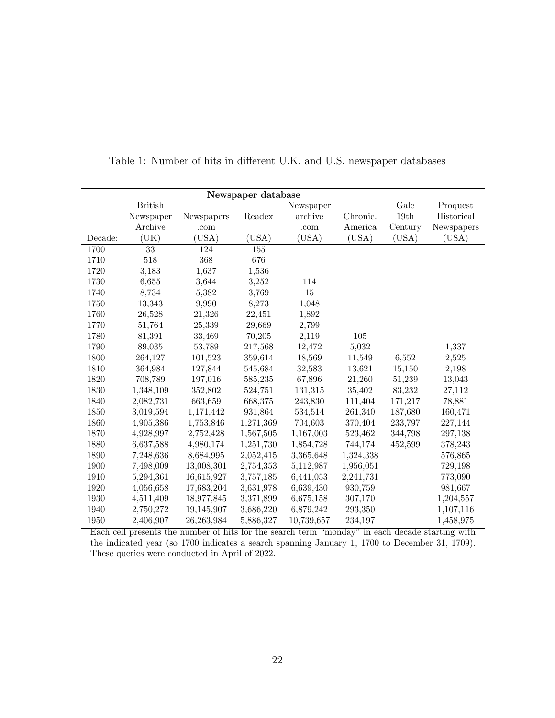| Newspaper database |                 |            |           |            |           |         |            |  |  |
|--------------------|-----------------|------------|-----------|------------|-----------|---------|------------|--|--|
|                    | <b>British</b>  |            |           | Newspaper  |           | Gale    | Proquest   |  |  |
|                    | Newspaper       | Newspapers | Readex    | archive    | Chronic.  | 19th    | Historical |  |  |
|                    | Archive         | .com       |           | .com       | America   | Century | Newspapers |  |  |
| Decade:            | (UK)            | (USA)      | (USA)     | (USA)      | (USA)     | (USA)   | (USA)      |  |  |
| 1700               | $\overline{33}$ | 124        | 155       |            |           |         |            |  |  |
| 1710               | 518             | 368        | 676       |            |           |         |            |  |  |
| 1720               | 3,183           | 1,637      | 1,536     |            |           |         |            |  |  |
| 1730               | 6,655           | 3,644      | 3,252     | 114        |           |         |            |  |  |
| 1740               | 8,734           | 5,382      | 3,769     | 15         |           |         |            |  |  |
| 1750               | 13,343          | 9,990      | 8,273     | 1,048      |           |         |            |  |  |
| 1760               | 26,528          | 21,326     | 22,451    | 1,892      |           |         |            |  |  |
| 1770               | 51,764          | 25,339     | 29,669    | 2,799      |           |         |            |  |  |
| 1780               | 81,391          | 33,469     | 70,205    | 2,119      | $105\,$   |         |            |  |  |
| 1790               | 89,035          | 53,789     | 217,568   | 12,472     | 5,032     |         | 1,337      |  |  |
| 1800               | 264,127         | 101,523    | 359,614   | 18,569     | 11,549    | 6,552   | 2,525      |  |  |
| 1810               | 364,984         | 127,844    | 545,684   | 32,583     | 13,621    | 15,150  | 2,198      |  |  |
| 1820               | 708,789         | 197,016    | 585,235   | 67,896     | 21,260    | 51,239  | 13,043     |  |  |
| 1830               | 1,348,109       | 352,802    | 524,751   | 131,315    | 35,402    | 83,232  | 27,112     |  |  |
| 1840               | 2,082,731       | 663,659    | 668,375   | 243,830    | 111,404   | 171,217 | 78,881     |  |  |
| 1850               | 3,019,594       | 1,171,442  | 931,864   | 534,514    | 261,340   | 187,680 | 160,471    |  |  |
| 1860               | 4,905,386       | 1,753,846  | 1,271,369 | 704,603    | 370,404   | 233,797 | 227,144    |  |  |
| 1870               | 4,928,997       | 2,752,428  | 1,567,505 | 1,167,003  | 523,462   | 344,798 | 297,138    |  |  |
| 1880               | 6,637,588       | 4,980,174  | 1,251,730 | 1,854,728  | 744,174   | 452,599 | 378,243    |  |  |
| 1890               | 7,248,636       | 8,684,995  | 2,052,415 | 3,365,648  | 1,324,338 |         | 576,865    |  |  |
| 1900               | 7,498,009       | 13,008,301 | 2,754,353 | 5,112,987  | 1,956,051 |         | 729,198    |  |  |
| 1910               | 5,294,361       | 16,615,927 | 3,757,185 | 6,441,053  | 2,241,731 |         | 773,090    |  |  |
| 1920               | 4,056,658       | 17,683,204 | 3,631,978 | 6,639,430  | 930,759   |         | 981,667    |  |  |
| 1930               | 4,511,409       | 18,977,845 | 3,371,899 | 6,675,158  | 307,170   |         | 1,204,557  |  |  |
| 1940               | 2,750,272       | 19,145,907 | 3,686,220 | 6,879,242  | 293,350   |         | 1,107,116  |  |  |
| 1950               | 2,406,907       | 26,263,984 | 5,886,327 | 10,739,657 | 234,197   |         | 1,458,975  |  |  |

<span id="page-22-0"></span>Table 1: Number of hits in different U.K. and U.S. newspaper databases

Each cell presents the number of hits for the search term "monday" in each decade starting with the indicated year (so 1700 indicates a search spanning January 1, 1700 to December 31, 1709). These queries were conducted in April of 2022.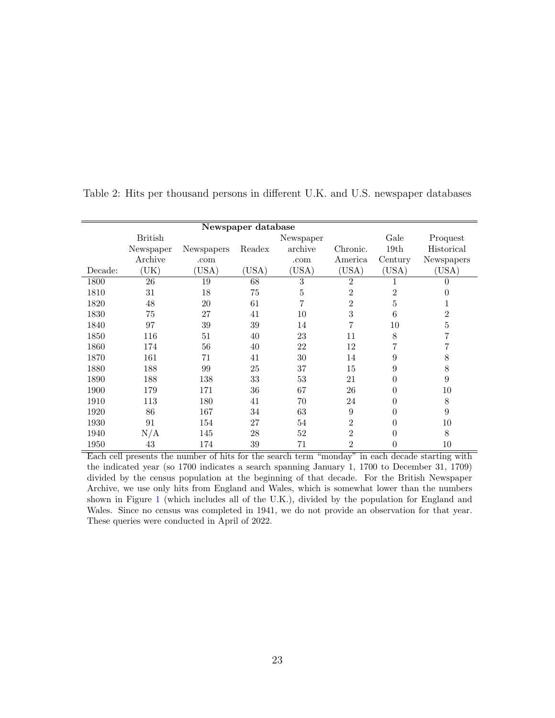| Newspaper database |                |            |        |           |                |                |                |  |  |
|--------------------|----------------|------------|--------|-----------|----------------|----------------|----------------|--|--|
|                    | <b>British</b> |            |        | Newspaper |                | Gale           | Proquest       |  |  |
|                    | Newspaper      | Newspapers | Readex | archive   | Chronic.       | 19th           | Historical     |  |  |
|                    | Archive        | .com       |        | .com      | America        | Century        | Newspapers     |  |  |
| Decade:            | UK)            | (USA)      | (USA)  | (USA)     | (USA)          | (USA)          | (USA)          |  |  |
| 1800               | 26             | 19         | 68     | 3         | $\overline{2}$ |                | $\Omega$       |  |  |
| 1810               | 31             | 18         | 75     | 5         | $\overline{2}$ | $\overline{2}$ | 0              |  |  |
| 1820               | 48             | 20         | 61     | 7         | $\overline{2}$ | 5              | 1              |  |  |
| 1830               | 75             | 27         | 41     | 10        | 3              | 6              | $\overline{2}$ |  |  |
| 1840               | 97             | 39         | 39     | 14        | 7              | 10             | 5              |  |  |
| 1850               | 116            | 51         | 40     | 23        | 11             | 8              |                |  |  |
| 1860               | 174            | 56         | 40     | 22        | 12             |                |                |  |  |
| 1870               | 161            | 71         | 41     | 30        | 14             | 9              | 8              |  |  |
| 1880               | 188            | 99         | 25     | 37        | 15             | 9              | 8              |  |  |
| 1890               | 188            | 138        | 33     | 53        | 21             | $\Omega$       | 9              |  |  |
| 1900               | 179            | 171        | 36     | 67        | 26             | 0              | 10             |  |  |
| 1910               | 113            | 180        | 41     | 70        | 24             | 0              | 8              |  |  |
| 1920               | 86             | 167        | 34     | 63        | 9              | 0              | 9              |  |  |
| 1930               | 91             | 154        | 27     | 54        | $\overline{2}$ | 0              | 10             |  |  |
| 1940               | N/A            | 145        | 28     | 52        | $\mathfrak{D}$ | 0              | 8              |  |  |
| 1950               | 43             | 174        | 39     | 71        | $\overline{2}$ | 0              | 10             |  |  |

<span id="page-23-0"></span>Table 2: Hits per thousand persons in different U.K. and U.S. newspaper databases

Each cell presents the number of hits for the search term "monday" in each decade starting with the indicated year (so 1700 indicates a search spanning January 1, 1700 to December 31, 1709) divided by the census population at the beginning of that decade. For the British Newspaper Archive, we use only hits from England and Wales, which is somewhat lower than the numbers shown in Figure [1](#page-22-0) (which includes all of the U.K.), divided by the population for England and Wales. Since no census was completed in 1941, we do not provide an observation for that year. These queries were conducted in April of 2022.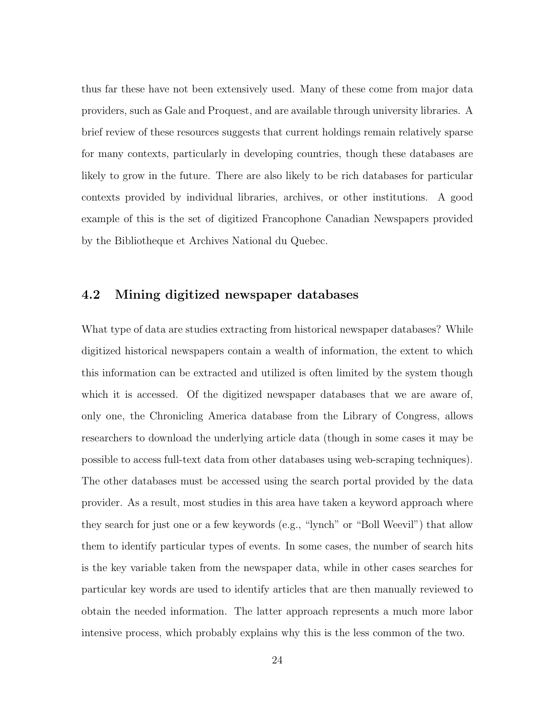thus far these have not been extensively used. Many of these come from major data providers, such as Gale and Proquest, and are available through university libraries. A brief review of these resources suggests that current holdings remain relatively sparse for many contexts, particularly in developing countries, though these databases are likely to grow in the future. There are also likely to be rich databases for particular contexts provided by individual libraries, archives, or other institutions. A good example of this is the set of digitized Francophone Canadian Newspapers provided by the Bibliotheque et Archives National du Quebec.

#### 4.2 Mining digitized newspaper databases

What type of data are studies extracting from historical newspaper databases? While digitized historical newspapers contain a wealth of information, the extent to which this information can be extracted and utilized is often limited by the system though which it is accessed. Of the digitized newspaper databases that we are aware of, only one, the Chronicling America database from the Library of Congress, allows researchers to download the underlying article data (though in some cases it may be possible to access full-text data from other databases using web-scraping techniques). The other databases must be accessed using the search portal provided by the data provider. As a result, most studies in this area have taken a keyword approach where they search for just one or a few keywords (e.g., "lynch" or "Boll Weevil") that allow them to identify particular types of events. In some cases, the number of search hits is the key variable taken from the newspaper data, while in other cases searches for particular key words are used to identify articles that are then manually reviewed to obtain the needed information. The latter approach represents a much more labor intensive process, which probably explains why this is the less common of the two.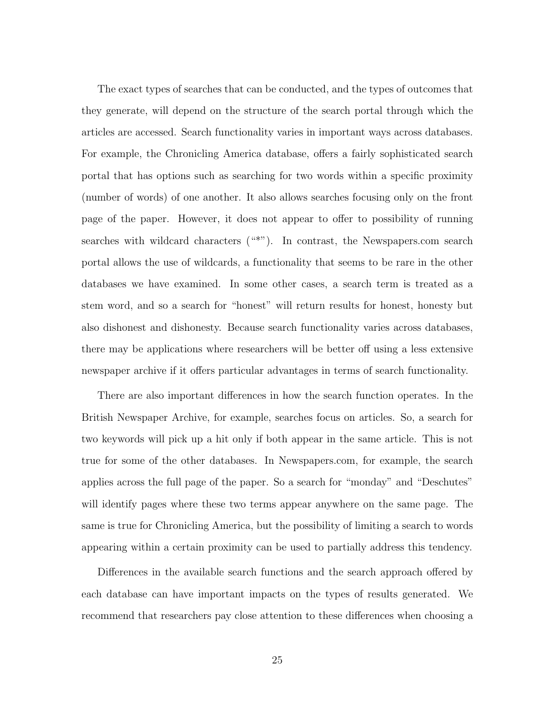The exact types of searches that can be conducted, and the types of outcomes that they generate, will depend on the structure of the search portal through which the articles are accessed. Search functionality varies in important ways across databases. For example, the Chronicling America database, offers a fairly sophisticated search portal that has options such as searching for two words within a specific proximity (number of words) of one another. It also allows searches focusing only on the front page of the paper. However, it does not appear to offer to possibility of running searches with wildcard characters ("\*"). In contrast, the Newspapers.com search portal allows the use of wildcards, a functionality that seems to be rare in the other databases we have examined. In some other cases, a search term is treated as a stem word, and so a search for "honest" will return results for honest, honesty but also dishonest and dishonesty. Because search functionality varies across databases, there may be applications where researchers will be better off using a less extensive newspaper archive if it offers particular advantages in terms of search functionality.

There are also important differences in how the search function operates. In the British Newspaper Archive, for example, searches focus on articles. So, a search for two keywords will pick up a hit only if both appear in the same article. This is not true for some of the other databases. In Newspapers.com, for example, the search applies across the full page of the paper. So a search for "monday" and "Deschutes" will identify pages where these two terms appear anywhere on the same page. The same is true for Chronicling America, but the possibility of limiting a search to words appearing within a certain proximity can be used to partially address this tendency.

Differences in the available search functions and the search approach offered by each database can have important impacts on the types of results generated. We recommend that researchers pay close attention to these differences when choosing a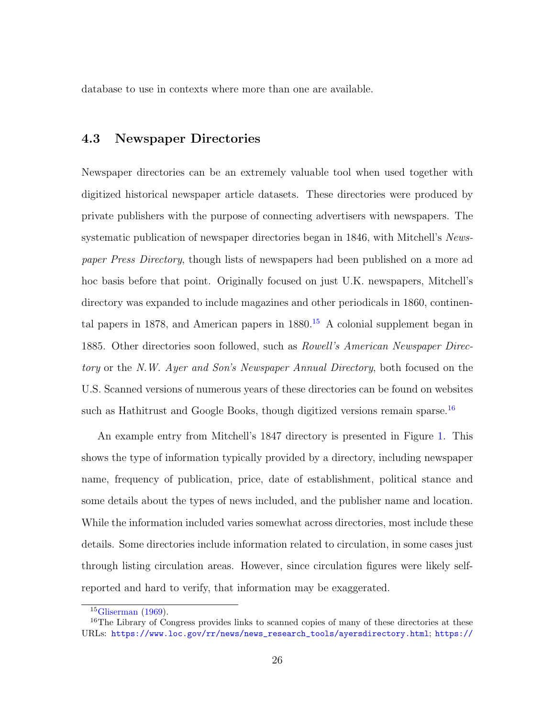database to use in contexts where more than one are available.

#### 4.3 Newspaper Directories

Newspaper directories can be an extremely valuable tool when used together with digitized historical newspaper article datasets. These directories were produced by private publishers with the purpose of connecting advertisers with newspapers. The systematic publication of newspaper directories began in 1846, with Mitchell's Newspaper Press Directory, though lists of newspapers had been published on a more ad hoc basis before that point. Originally focused on just U.K. newspapers, Mitchell's directory was expanded to include magazines and other periodicals in 1860, continental papers in 1878, and American papers in  $1880<sup>15</sup>$  $1880<sup>15</sup>$  $1880<sup>15</sup>$  A colonial supplement began in 1885. Other directories soon followed, such as Rowell's American Newspaper Directory or the N.W. Ayer and Son's Newspaper Annual Directory, both focused on the U.S. Scanned versions of numerous years of these directories can be found on websites such as Hathitrust and Google Books, though digitized versions remain sparse.<sup>[16](#page-0-0)</sup>

An example entry from Mitchell's 1847 directory is presented in Figure [1.](#page-27-0) This shows the type of information typically provided by a directory, including newspaper name, frequency of publication, price, date of establishment, political stance and some details about the types of news included, and the publisher name and location. While the information included varies somewhat across directories, most include these details. Some directories include information related to circulation, in some cases just through listing circulation areas. However, since circulation figures were likely selfreported and hard to verify, that information may be exaggerated.

 $15$ [Gliserman](#page-47-7) [\(1969\)](#page-47-7).

<sup>&</sup>lt;sup>16</sup>The Library of Congress provides links to scanned copies of many of these directories at these URLs: [https://www.loc.gov/rr/news/news\\_research\\_tools/ayersdirectory.html](https://www.loc.gov/rr/news/news_research_tools/ayersdirectory.html); [https://](https://memory.loc.gov/diglib/vols/loc.gdc.sr.sn91012092/default.html)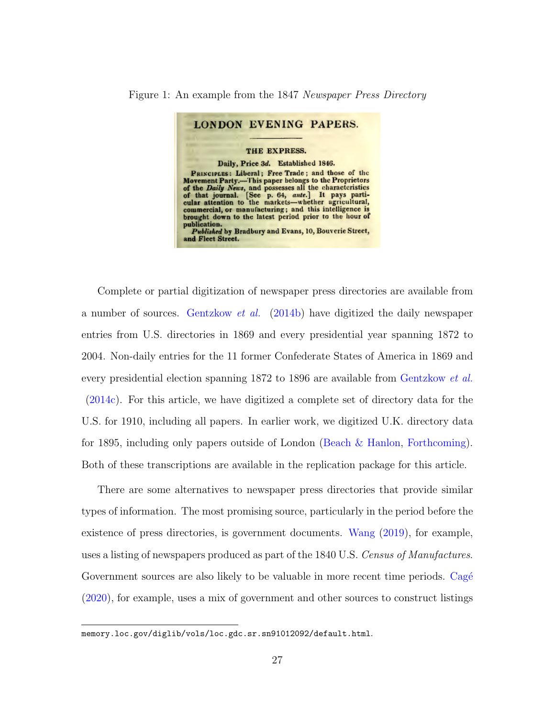#### Figure 1: An example from the 1847 Newspaper Press Directory

<span id="page-27-0"></span>

[Complete or partial digitization of newspaper press directories are available from](https://memory.loc.gov/diglib/vols/loc.gdc.sr.sn91012092/default.html) a number of sources. [Gentzkow](#page-47-8) et al. [\(2014b\) have digitized the daily newspaper](https://memory.loc.gov/diglib/vols/loc.gdc.sr.sn91012092/default.html) [entries from U.S. directories in 1869 and every presidential year spanning 1872 to](https://memory.loc.gov/diglib/vols/loc.gdc.sr.sn91012092/default.html) [2004. Non-daily entries for the 11 former Confederate States of America in 1869 and](https://memory.loc.gov/diglib/vols/loc.gdc.sr.sn91012092/default.html) [every presidential election spanning 1872 to 1896 are available from](https://memory.loc.gov/diglib/vols/loc.gdc.sr.sn91012092/default.html) [Gentzkow](#page-47-9) *et al.* [\(2014c\). For this article, we have digitized a complete set of directory data for the](https://memory.loc.gov/diglib/vols/loc.gdc.sr.sn91012092/default.html) [U.S. for 1910, including all papers. In earlier work, we digitized U.K. directory data](https://memory.loc.gov/diglib/vols/loc.gdc.sr.sn91012092/default.html) [for 1895, including only papers outside of London \(Beach & Hanlon,](https://memory.loc.gov/diglib/vols/loc.gdc.sr.sn91012092/default.html) [Forthcoming\)](#page-45-2). [Both of these transcriptions are available in the replication package for this article.](https://memory.loc.gov/diglib/vols/loc.gdc.sr.sn91012092/default.html)

[There are some alternatives to newspaper press directories that provide similar](https://memory.loc.gov/diglib/vols/loc.gdc.sr.sn91012092/default.html) [types of information. The most promising source, particularly in the period before the](https://memory.loc.gov/diglib/vols/loc.gdc.sr.sn91012092/default.html) [existence of press directories, is government documents.](https://memory.loc.gov/diglib/vols/loc.gdc.sr.sn91012092/default.html) [Wang](#page-49-1) [\(2019\)](#page-49-1), for example, [uses a listing of newspapers produced as part of the 1840 U.S.](https://memory.loc.gov/diglib/vols/loc.gdc.sr.sn91012092/default.html) Census of Manufactures. [Government sources are also likely to be valuable in more recent time periods.](https://memory.loc.gov/diglib/vols/loc.gdc.sr.sn91012092/default.html) Cagé [\(2020\), for example, uses a mix of government and other sources to construct listings](https://memory.loc.gov/diglib/vols/loc.gdc.sr.sn91012092/default.html)

[memory.loc.gov/diglib/vols/loc.gdc.sr.sn91012092/default.html](https://memory.loc.gov/diglib/vols/loc.gdc.sr.sn91012092/default.html).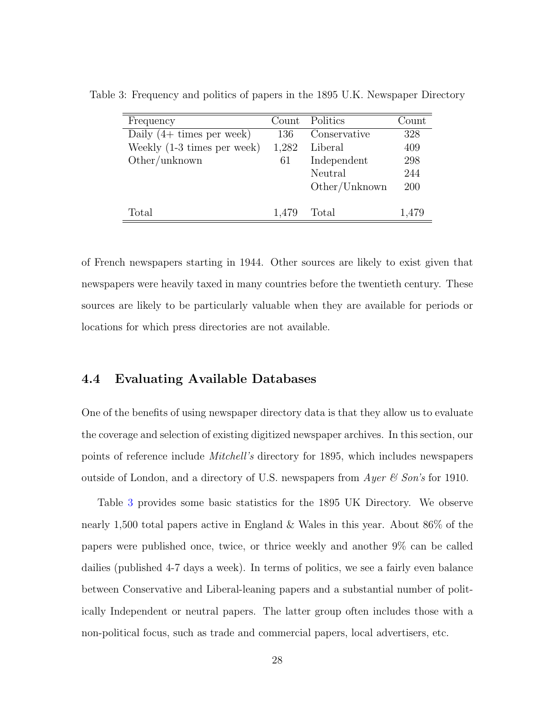<span id="page-28-0"></span>

| Frequency                           | Count | Politics      | Count |
|-------------------------------------|-------|---------------|-------|
| Daily $(4 + \text{times per week})$ | 136   | Conservative  | 328   |
| Weekly (1-3 times per week)         | 1,282 | Liberal       | 409   |
| Other/unknown                       | 61    | Independent   | 298   |
|                                     |       | Neutral       | 244   |
|                                     |       | Other/Unknown | 200   |
|                                     |       |               |       |
| Total                               | 1,479 | Total         | 1,479 |

Table 3: Frequency and politics of papers in the 1895 U.K. Newspaper Directory

of French newspapers starting in 1944. Other sources are likely to exist given that newspapers were heavily taxed in many countries before the twentieth century. These sources are likely to be particularly valuable when they are available for periods or locations for which press directories are not available.

#### 4.4 Evaluating Available Databases

One of the benefits of using newspaper directory data is that they allow us to evaluate the coverage and selection of existing digitized newspaper archives. In this section, our points of reference include Mitchell's directory for 1895, which includes newspapers outside of London, and a directory of U.S. newspapers from  $Ayer \& Son's$  for 1910.

Table [3](#page-28-0) provides some basic statistics for the 1895 UK Directory. We observe nearly 1,500 total papers active in England & Wales in this year. About 86% of the papers were published once, twice, or thrice weekly and another 9% can be called dailies (published 4-7 days a week). In terms of politics, we see a fairly even balance between Conservative and Liberal-leaning papers and a substantial number of politically Independent or neutral papers. The latter group often includes those with a non-political focus, such as trade and commercial papers, local advertisers, etc.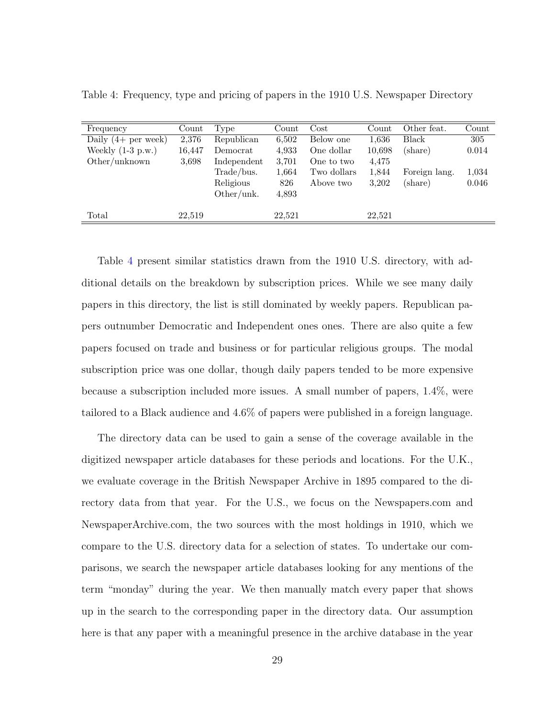| Frequency                   | Count  | Type        | Count  | $\cos t$    | Count  | Other feat.   | Count |
|-----------------------------|--------|-------------|--------|-------------|--------|---------------|-------|
| Daily $(4+$ per week)       | 2,376  | Republican  | 6,502  | Below one   | 1,636  | Black         | 305   |
| Weekly $(1-3 \text{ p.w.})$ | 16,447 | Democrat    | 4,933  | One dollar  | 10.698 | (share)       | 0.014 |
| Other/unknown               | 3.698  | Independent | 3,701  | One to two  | 4,475  |               |       |
|                             |        | Trade/bus.  | 1,664  | Two dollars | 1,844  | Foreign lang. | 1,034 |
|                             |        | Religious   | 826    | Above two   | 3,202  | (share)       | 0.046 |
|                             |        | Other/unk.  | 4,893  |             |        |               |       |
|                             |        |             |        |             |        |               |       |
| Total                       | 22,519 |             | 22.521 |             | 22,521 |               |       |

<span id="page-29-0"></span>Table 4: Frequency, type and pricing of papers in the 1910 U.S. Newspaper Directory

Table [4](#page-29-0) present similar statistics drawn from the 1910 U.S. directory, with additional details on the breakdown by subscription prices. While we see many daily papers in this directory, the list is still dominated by weekly papers. Republican papers outnumber Democratic and Independent ones ones. There are also quite a few papers focused on trade and business or for particular religious groups. The modal subscription price was one dollar, though daily papers tended to be more expensive because a subscription included more issues. A small number of papers, 1.4%, were tailored to a Black audience and 4.6% of papers were published in a foreign language.

The directory data can be used to gain a sense of the coverage available in the digitized newspaper article databases for these periods and locations. For the U.K., we evaluate coverage in the British Newspaper Archive in 1895 compared to the directory data from that year. For the U.S., we focus on the Newspapers.com and NewspaperArchive.com, the two sources with the most holdings in 1910, which we compare to the U.S. directory data for a selection of states. To undertake our comparisons, we search the newspaper article databases looking for any mentions of the term "monday" during the year. We then manually match every paper that shows up in the search to the corresponding paper in the directory data. Our assumption here is that any paper with a meaningful presence in the archive database in the year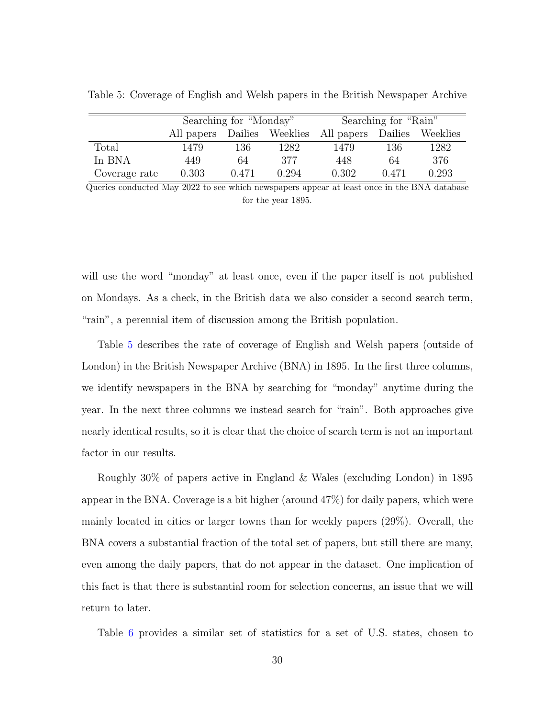|               | Searching for "Monday"      |       |       | Searching for "Rain" |         |          |  |
|---------------|-----------------------------|-------|-------|----------------------|---------|----------|--|
|               | All papers Dailies Weeklies |       |       | All papers           | Dailies | Weeklies |  |
| Total         | 1479                        | 136   | 1282  | 1479                 | 136     | 1282     |  |
| In BNA        | 449                         | 64    | 377   | 448                  | 64      | 376      |  |
| Coverage rate | 0.303                       | 0.471 | 0.294 | 0.302                | 0.471   | 0.293    |  |

<span id="page-30-0"></span>Table 5: Coverage of English and Welsh papers in the British Newspaper Archive

Queries conducted May 2022 to see which newspapers appear at least once in the BNA database for the year 1895.

will use the word "monday" at least once, even if the paper itself is not published on Mondays. As a check, in the British data we also consider a second search term, "rain", a perennial item of discussion among the British population.

Table [5](#page-30-0) describes the rate of coverage of English and Welsh papers (outside of London) in the British Newspaper Archive (BNA) in 1895. In the first three columns, we identify newspapers in the BNA by searching for "monday" anytime during the year. In the next three columns we instead search for "rain". Both approaches give nearly identical results, so it is clear that the choice of search term is not an important factor in our results.

Roughly 30% of papers active in England & Wales (excluding London) in 1895 appear in the BNA. Coverage is a bit higher (around 47%) for daily papers, which were mainly located in cities or larger towns than for weekly papers (29%). Overall, the BNA covers a substantial fraction of the total set of papers, but still there are many, even among the daily papers, that do not appear in the dataset. One implication of this fact is that there is substantial room for selection concerns, an issue that we will return to later.

Table [6](#page-31-0) provides a similar set of statistics for a set of U.S. states, chosen to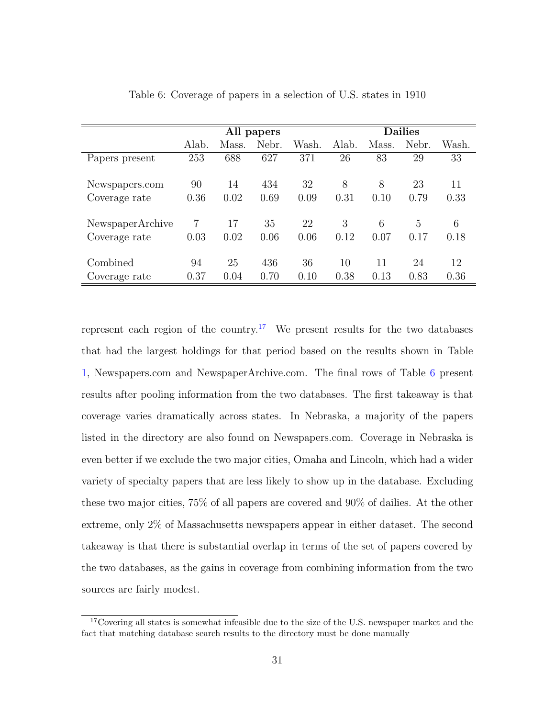|                  | All papers |       |       |       | <b>Dailies</b> |       |       |       |
|------------------|------------|-------|-------|-------|----------------|-------|-------|-------|
|                  | Alab.      | Mass. | Nebr. | Wash. | Alab.          | Mass. | Nebr. | Wash. |
| Papers present   | 253        | 688   | 627   | 371   | 26             | 83    | 29    | 33    |
|                  |            |       |       |       |                |       |       |       |
| Newspapers.com   | 90         | 14    | 434   | 32    | 8              | 8     | 23    | 11    |
| Coverage rate    | 0.36       | 0.02  | 0.69  | 0.09  | 0.31           | 0.10  | 0.79  | 0.33  |
|                  |            |       |       |       |                |       |       |       |
| NewspaperArchive | 7          | 17    | 35    | 22    | 3              | 6     | 5     | 6     |
| Coverage rate    | 0.03       | 0.02  | 0.06  | 0.06  | 0.12           | 0.07  | 0.17  | 0.18  |
|                  |            |       |       |       |                |       |       |       |
| Combined         | 94         | 25    | 436   | 36    | 10             | 11    | 24    | 12    |
| Coverage rate    | 0.37       | 0.04  | 0.70  | 0.10  | 0.38           | 0.13  | 0.83  | 0.36  |

<span id="page-31-0"></span>Table 6: Coverage of papers in a selection of U.S. states in 1910

represent each region of the country.<sup>[17](#page-0-0)</sup> We present results for the two databases that had the largest holdings for that period based on the results shown in Table [1,](#page-22-0) Newspapers.com and NewspaperArchive.com. The final rows of Table [6](#page-31-0) present results after pooling information from the two databases. The first takeaway is that coverage varies dramatically across states. In Nebraska, a majority of the papers listed in the directory are also found on Newspapers.com. Coverage in Nebraska is even better if we exclude the two major cities, Omaha and Lincoln, which had a wider variety of specialty papers that are less likely to show up in the database. Excluding these two major cities, 75% of all papers are covered and 90% of dailies. At the other extreme, only 2% of Massachusetts newspapers appear in either dataset. The second takeaway is that there is substantial overlap in terms of the set of papers covered by the two databases, as the gains in coverage from combining information from the two sources are fairly modest.

<sup>&</sup>lt;sup>17</sup>Covering all states is somewhat infeasible due to the size of the U.S. newspaper market and the fact that matching database search results to the directory must be done manually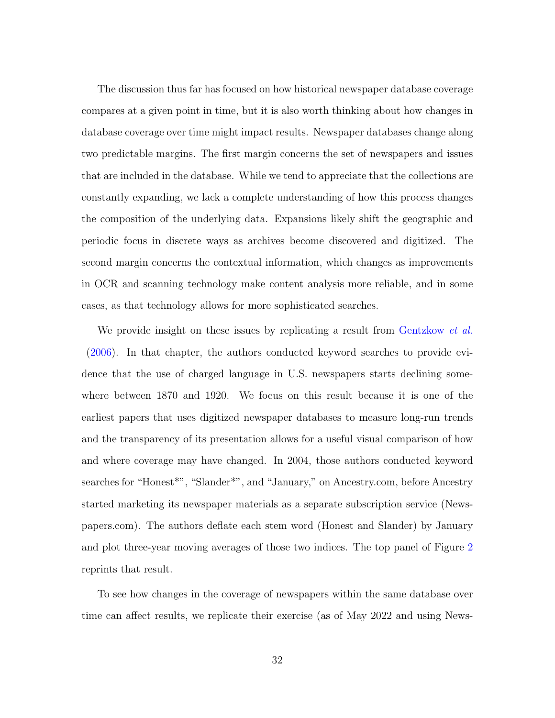The discussion thus far has focused on how historical newspaper database coverage compares at a given point in time, but it is also worth thinking about how changes in database coverage over time might impact results. Newspaper databases change along two predictable margins. The first margin concerns the set of newspapers and issues that are included in the database. While we tend to appreciate that the collections are constantly expanding, we lack a complete understanding of how this process changes the composition of the underlying data. Expansions likely shift the geographic and periodic focus in discrete ways as archives become discovered and digitized. The second margin concerns the contextual information, which changes as improvements in OCR and scanning technology make content analysis more reliable, and in some cases, as that technology allows for more sophisticated searches.

We provide insight on these issues by replicating a result from [Gentzkow](#page-46-4) *et al.* [\(2006\)](#page-46-4). In that chapter, the authors conducted keyword searches to provide evidence that the use of charged language in U.S. newspapers starts declining somewhere between 1870 and 1920. We focus on this result because it is one of the earliest papers that uses digitized newspaper databases to measure long-run trends and the transparency of its presentation allows for a useful visual comparison of how and where coverage may have changed. In 2004, those authors conducted keyword searches for "Honest<sup>\*"</sup>, "Slander<sup>\*"</sup>, and "January," on Ancestry.com, before Ancestry started marketing its newspaper materials as a separate subscription service (Newspapers.com). The authors deflate each stem word (Honest and Slander) by January and plot three-year moving averages of those two indices. The top panel of Figure [2](#page-34-1) reprints that result.

To see how changes in the coverage of newspapers within the same database over time can affect results, we replicate their exercise (as of May 2022 and using News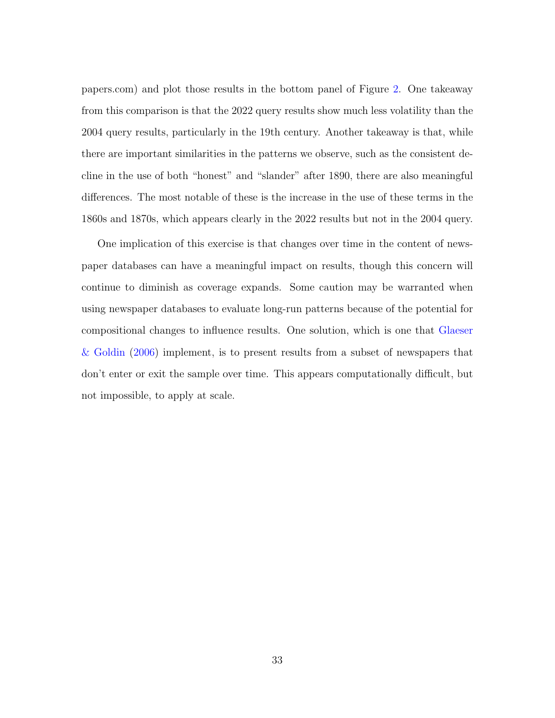papers.com) and plot those results in the bottom panel of Figure [2.](#page-34-1) One takeaway from this comparison is that the 2022 query results show much less volatility than the 2004 query results, particularly in the 19th century. Another takeaway is that, while there are important similarities in the patterns we observe, such as the consistent decline in the use of both "honest" and "slander" after 1890, there are also meaningful differences. The most notable of these is the increase in the use of these terms in the 1860s and 1870s, which appears clearly in the 2022 results but not in the 2004 query.

One implication of this exercise is that changes over time in the content of newspaper databases can have a meaningful impact on results, though this concern will continue to diminish as coverage expands. Some caution may be warranted when using newspaper databases to evaluate long-run patterns because of the potential for compositional changes to influence results. One solution, which is one that [Glaeser](#page-47-2) [& Goldin](#page-47-2) [\(2006\)](#page-47-2) implement, is to present results from a subset of newspapers that don't enter or exit the sample over time. This appears computationally difficult, but not impossible, to apply at scale.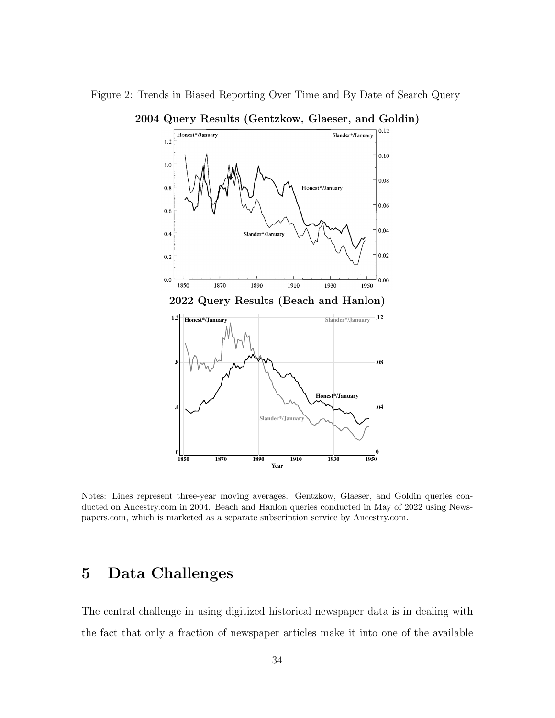<span id="page-34-1"></span>

Figure 2: Trends in Biased Reporting Over Time and By Date of Search Query

Notes: Lines represent three-year moving averages. Gentzkow, Glaeser, and Goldin queries conducted on Ancestry.com in 2004. Beach and Hanlon queries conducted in May of 2022 using Newspapers.com, which is marketed as a separate subscription service by Ancestry.com.

# <span id="page-34-0"></span>5 Data Challenges

The central challenge in using digitized historical newspaper data is in dealing with the fact that only a fraction of newspaper articles make it into one of the available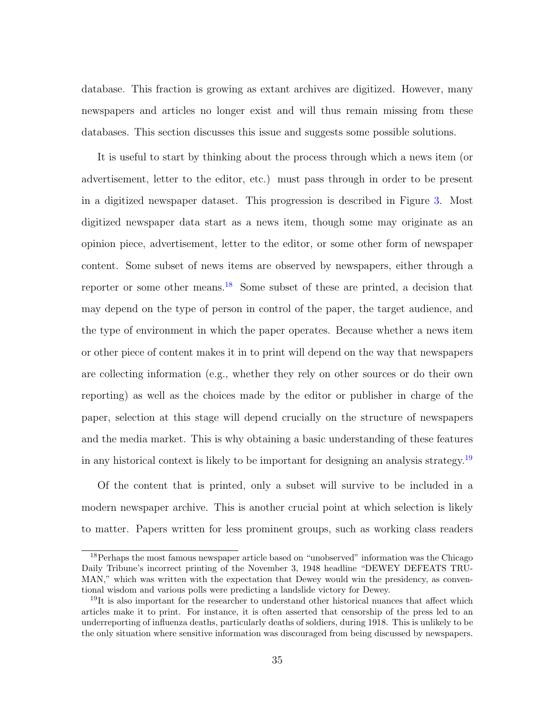database. This fraction is growing as extant archives are digitized. However, many newspapers and articles no longer exist and will thus remain missing from these databases. This section discusses this issue and suggests some possible solutions.

It is useful to start by thinking about the process through which a news item (or advertisement, letter to the editor, etc.) must pass through in order to be present in a digitized newspaper dataset. This progression is described in Figure [3.](#page-36-0) Most digitized newspaper data start as a news item, though some may originate as an opinion piece, advertisement, letter to the editor, or some other form of newspaper content. Some subset of news items are observed by newspapers, either through a reporter or some other means.[18](#page-0-0) Some subset of these are printed, a decision that may depend on the type of person in control of the paper, the target audience, and the type of environment in which the paper operates. Because whether a news item or other piece of content makes it in to print will depend on the way that newspapers are collecting information (e.g., whether they rely on other sources or do their own reporting) as well as the choices made by the editor or publisher in charge of the paper, selection at this stage will depend crucially on the structure of newspapers and the media market. This is why obtaining a basic understanding of these features in any historical context is likely to be important for designing an analysis strategy.<sup>[19](#page-0-0)</sup>

Of the content that is printed, only a subset will survive to be included in a modern newspaper archive. This is another crucial point at which selection is likely to matter. Papers written for less prominent groups, such as working class readers

<sup>&</sup>lt;sup>18</sup>Perhaps the most famous newspaper article based on "unobserved" information was the Chicago Daily Tribune's incorrect printing of the November 3, 1948 headline "DEWEY DEFEATS TRU-MAN," which was written with the expectation that Dewey would win the presidency, as conventional wisdom and various polls were predicting a landslide victory for Dewey.

<sup>&</sup>lt;sup>19</sup>It is also important for the researcher to understand other historical nuances that affect which articles make it to print. For instance, it is often asserted that censorship of the press led to an underreporting of influenza deaths, particularly deaths of soldiers, during 1918. This is unlikely to be the only situation where sensitive information was discouraged from being discussed by newspapers.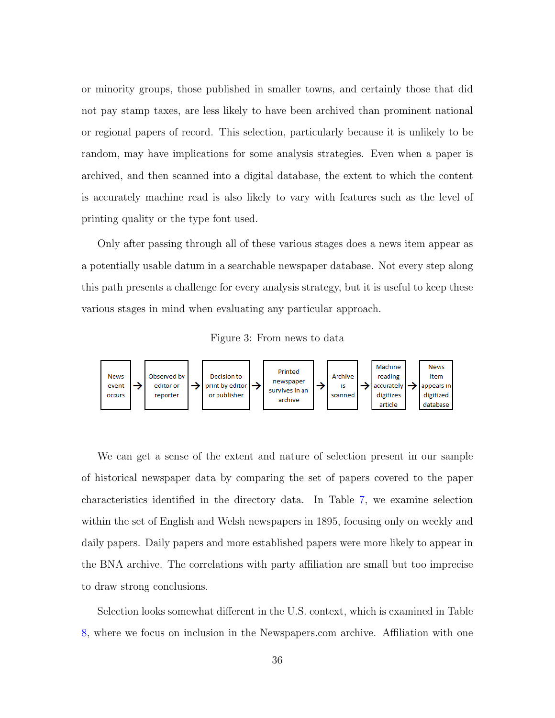or minority groups, those published in smaller towns, and certainly those that did not pay stamp taxes, are less likely to have been archived than prominent national or regional papers of record. This selection, particularly because it is unlikely to be random, may have implications for some analysis strategies. Even when a paper is archived, and then scanned into a digital database, the extent to which the content is accurately machine read is also likely to vary with features such as the level of printing quality or the type font used.

Only after passing through all of these various stages does a news item appear as a potentially usable datum in a searchable newspaper database. Not every step along this path presents a challenge for every analysis strategy, but it is useful to keep these various stages in mind when evaluating any particular approach.

<span id="page-36-0"></span>Figure 3: From news to data



We can get a sense of the extent and nature of selection present in our sample of historical newspaper data by comparing the set of papers covered to the paper characteristics identified in the directory data. In Table [7,](#page-37-0) we examine selection within the set of English and Welsh newspapers in 1895, focusing only on weekly and daily papers. Daily papers and more established papers were more likely to appear in the BNA archive. The correlations with party affiliation are small but too imprecise to draw strong conclusions.

Selection looks somewhat different in the U.S. context, which is examined in Table [8,](#page-39-0) where we focus on inclusion in the Newspapers.com archive. Affiliation with one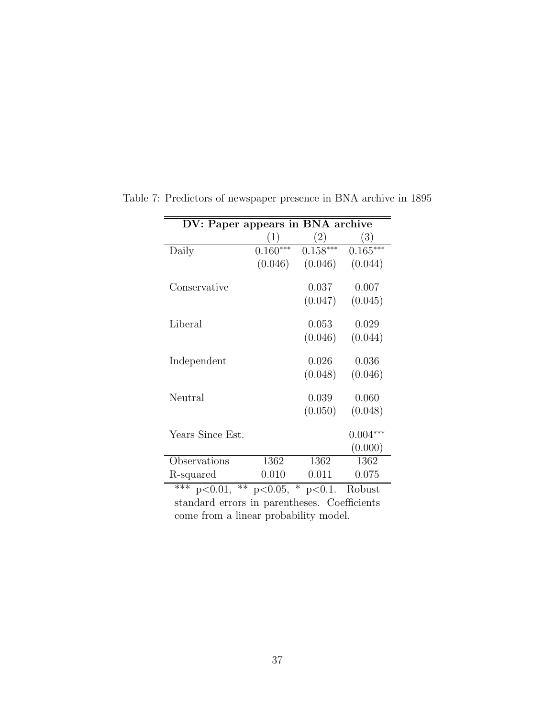<span id="page-37-0"></span>

| DV: Paper appears in BNA archive |            |                   |               |  |  |  |  |  |
|----------------------------------|------------|-------------------|---------------|--|--|--|--|--|
|                                  | (1)        | (2)               | (3)           |  |  |  |  |  |
| Daily                            | $0.160***$ | $0.158***$        | $0.165***$    |  |  |  |  |  |
|                                  | (0.046)    | (0.046)           | (0.044)       |  |  |  |  |  |
| Conservative                     |            | 0.037             | 0.007         |  |  |  |  |  |
|                                  |            | (0.047)           | (0.045)       |  |  |  |  |  |
| Liberal                          |            | 0.053             | 0.029         |  |  |  |  |  |
|                                  |            | (0.046)           | (0.044)       |  |  |  |  |  |
| Independent                      |            | 0.026             | 0.036         |  |  |  |  |  |
|                                  |            | (0.048)           | (0.046)       |  |  |  |  |  |
| Neutral                          |            | 0.039             | 0.060         |  |  |  |  |  |
|                                  |            | (0.050)           | (0.048)       |  |  |  |  |  |
| Years Since Est.                 |            |                   | $0.004***$    |  |  |  |  |  |
|                                  |            |                   | (0.000)       |  |  |  |  |  |
| Observations                     | 1362       | 1362              | 1362          |  |  |  |  |  |
| R-squared                        | 0.010      | 0.011             | 0.075         |  |  |  |  |  |
| $***$<br>$**$<br>n < 0.01        | n < 0.05   | $\ast$<br>n < 0.1 | <b>Robust</b> |  |  |  |  |  |

Table 7: Predictors of newspaper presence in BNA archive in 1895

\*\*\* p<0.01, \*\* p<0.05, \* p<0.1. Robust standard errors in parentheses. Coefficients come from a linear probability model.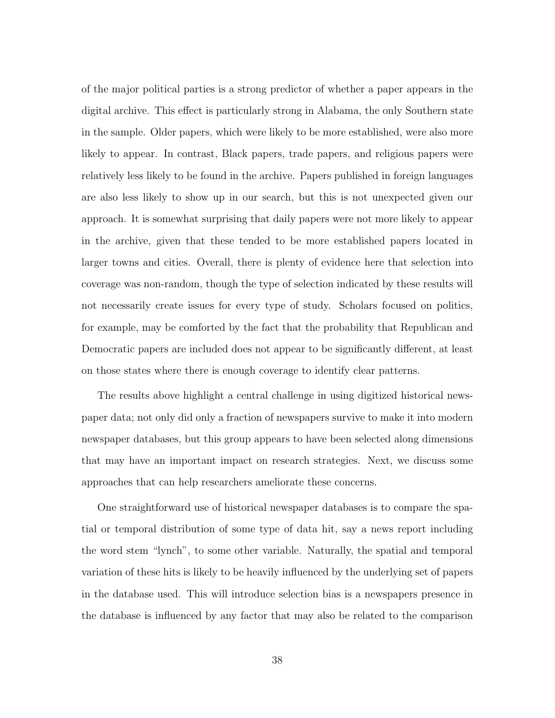of the major political parties is a strong predictor of whether a paper appears in the digital archive. This effect is particularly strong in Alabama, the only Southern state in the sample. Older papers, which were likely to be more established, were also more likely to appear. In contrast, Black papers, trade papers, and religious papers were relatively less likely to be found in the archive. Papers published in foreign languages are also less likely to show up in our search, but this is not unexpected given our approach. It is somewhat surprising that daily papers were not more likely to appear in the archive, given that these tended to be more established papers located in larger towns and cities. Overall, there is plenty of evidence here that selection into coverage was non-random, though the type of selection indicated by these results will not necessarily create issues for every type of study. Scholars focused on politics, for example, may be comforted by the fact that the probability that Republican and Democratic papers are included does not appear to be significantly different, at least on those states where there is enough coverage to identify clear patterns.

The results above highlight a central challenge in using digitized historical newspaper data; not only did only a fraction of newspapers survive to make it into modern newspaper databases, but this group appears to have been selected along dimensions that may have an important impact on research strategies. Next, we discuss some approaches that can help researchers ameliorate these concerns.

One straightforward use of historical newspaper databases is to compare the spatial or temporal distribution of some type of data hit, say a news report including the word stem "lynch", to some other variable. Naturally, the spatial and temporal variation of these hits is likely to be heavily influenced by the underlying set of papers in the database used. This will introduce selection bias is a newspapers presence in the database is influenced by any factor that may also be related to the comparison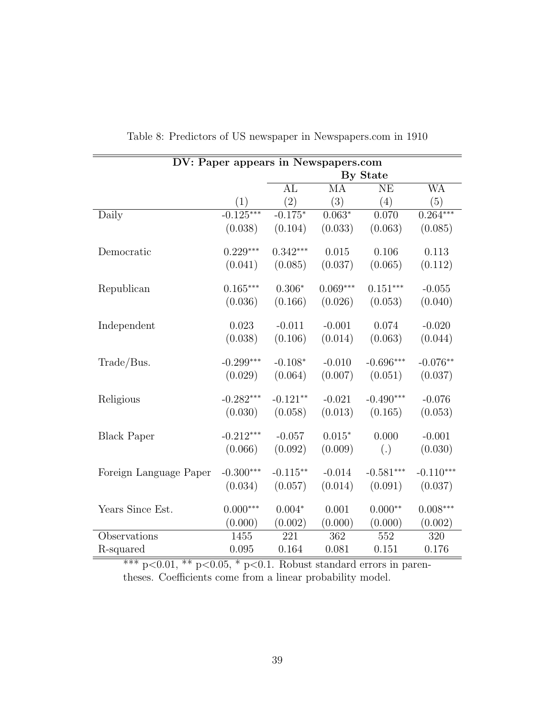|                        | DV: Paper appears in Newspapers.com |                   |            |             |             |  |  |  |  |
|------------------------|-------------------------------------|-------------------|------------|-------------|-------------|--|--|--|--|
|                        |                                     |                   |            | By State    |             |  |  |  |  |
|                        |                                     | AL                | MA         | <b>NE</b>   | WA          |  |  |  |  |
|                        | (1)                                 | $\left( 2\right)$ | (3)        | (4)         | (5)         |  |  |  |  |
| Daily                  | $-0.125***$                         | $-0.175*$         | $0.063*$   | 0.070       | $0.264***$  |  |  |  |  |
|                        | (0.038)                             | (0.104)           | (0.033)    | (0.063)     | (0.085)     |  |  |  |  |
| Democratic             | $0.229***$                          | $0.342***$        | 0.015      | 0.106       | 0.113       |  |  |  |  |
|                        | (0.041)                             | (0.085)           | (0.037)    | (0.065)     | (0.112)     |  |  |  |  |
| Republican             | $0.165***$                          | $0.306*$          | $0.069***$ | $0.151***$  | $-0.055$    |  |  |  |  |
|                        | (0.036)                             | (0.166)           | (0.026)    | (0.053)     | (0.040)     |  |  |  |  |
| Independent            | 0.023                               | $-0.011$          | $-0.001$   | 0.074       | $-0.020$    |  |  |  |  |
|                        | (0.038)                             | (0.106)           | (0.014)    | (0.063)     | (0.044)     |  |  |  |  |
| Trade/Bus.             | $-0.299***$                         | $-0.108*$         | $-0.010$   | $-0.696***$ | $-0.076**$  |  |  |  |  |
|                        | (0.029)                             | (0.064)           | (0.007)    | (0.051)     | (0.037)     |  |  |  |  |
| Religious              | $-0.282***$                         | $-0.121**$        | $-0.021$   | $-0.490***$ | $-0.076$    |  |  |  |  |
|                        | (0.030)                             | (0.058)           | (0.013)    | (0.165)     | (0.053)     |  |  |  |  |
| <b>Black Paper</b>     | $-0.212***$                         | $-0.057$          | $0.015*$   | 0.000       | $-0.001$    |  |  |  |  |
|                        | (0.066)                             | (0.092)           | (0.009)    | (.)         | (0.030)     |  |  |  |  |
| Foreign Language Paper | $-0.300***$                         | $-0.115**$        | $-0.014$   | $-0.581***$ | $-0.110***$ |  |  |  |  |
|                        | (0.034)                             | (0.057)           | (0.014)    | (0.091)     | (0.037)     |  |  |  |  |
| Years Since Est.       | $0.000***$                          | $0.004*$          | 0.001      | $0.000**$   | $0.008***$  |  |  |  |  |
|                        | (0.000)                             | (0.002)           | (0.000)    | (0.000)     | (0.002)     |  |  |  |  |
| Observations           | 1455                                | 221               | 362        | 552         | 320         |  |  |  |  |
| R-squared              | 0.095                               | 0.164             | 0.081      | 0.151       | 0.176       |  |  |  |  |

<span id="page-39-0"></span>Table 8: Predictors of US newspaper in Newspapers.com in 1910

\*\*\*  $p<0.01$ , \*\*  $p<0.05$ , \*  $p<0.1$ . Robust standard errors in parentheses. Coefficients come from a linear probability model.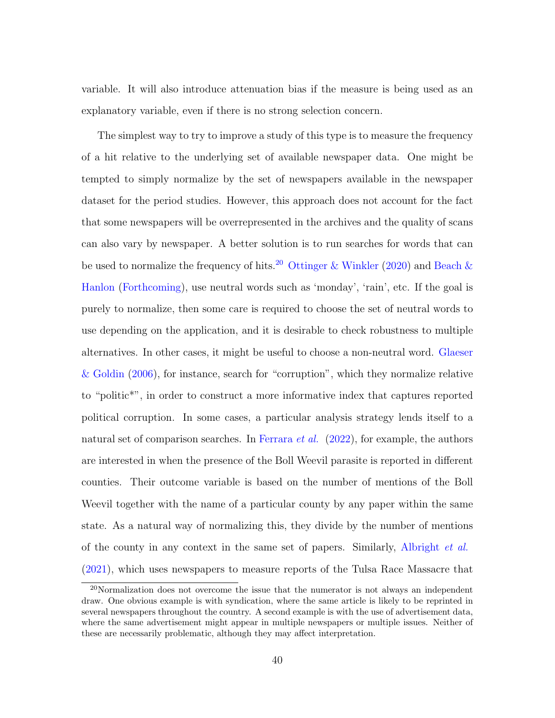variable. It will also introduce attenuation bias if the measure is being used as an explanatory variable, even if there is no strong selection concern.

The simplest way to try to improve a study of this type is to measure the frequency of a hit relative to the underlying set of available newspaper data. One might be tempted to simply normalize by the set of newspapers available in the newspaper dataset for the period studies. However, this approach does not account for the fact that some newspapers will be overrepresented in the archives and the quality of scans can also vary by newspaper. A better solution is to run searches for words that can be used to normalize the frequency of hits.<sup>[20](#page-0-0)</sup> [Ottinger & Winkler](#page-48-8) [\(2020\)](#page-48-8) and [Beach &](#page-45-2) [Hanlon](#page-45-2) [\(Forthcoming\)](#page-45-2), use neutral words such as 'monday', 'rain', etc. If the goal is purely to normalize, then some care is required to choose the set of neutral words to use depending on the application, and it is desirable to check robustness to multiple alternatives. In other cases, it might be useful to choose a non-neutral word. [Glaeser](#page-47-2) [& Goldin](#page-47-2) [\(2006\)](#page-47-2), for instance, search for "corruption", which they normalize relative to "politic\*", in order to construct a more informative index that captures reported political corruption. In some cases, a particular analysis strategy lends itself to a natural set of comparison searches. In [Ferrara](#page-46-9) *et al.*  $(2022)$ , for example, the authors are interested in when the presence of the Boll Weevil parasite is reported in different counties. Their outcome variable is based on the number of mentions of the Boll Weevil together with the name of a particular county by any paper within the same state. As a natural way of normalizing this, they divide by the number of mentions of the county in any context in the same set of papers. Similarly, [Albright](#page-44-0) et al. [\(2021\)](#page-44-0), which uses newspapers to measure reports of the Tulsa Race Massacre that

<sup>20</sup>Normalization does not overcome the issue that the numerator is not always an independent draw. One obvious example is with syndication, where the same article is likely to be reprinted in several newspapers throughout the country. A second example is with the use of advertisement data, where the same advertisement might appear in multiple newspapers or multiple issues. Neither of these are necessarily problematic, although they may affect interpretation.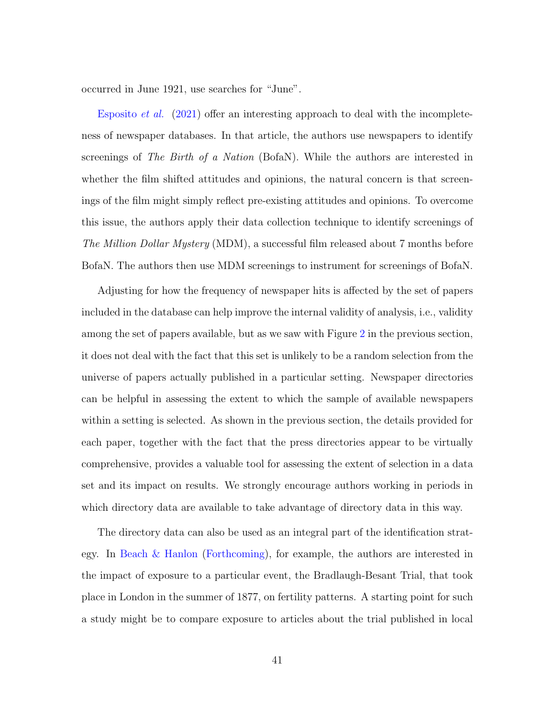occurred in June 1921, use searches for "June".

[Esposito](#page-46-2) et al. [\(2021\)](#page-46-2) offer an interesting approach to deal with the incompleteness of newspaper databases. In that article, the authors use newspapers to identify screenings of The Birth of a Nation (BofaN). While the authors are interested in whether the film shifted attitudes and opinions, the natural concern is that screenings of the film might simply reflect pre-existing attitudes and opinions. To overcome this issue, the authors apply their data collection technique to identify screenings of The Million Dollar Mystery (MDM), a successful film released about 7 months before BofaN. The authors then use MDM screenings to instrument for screenings of BofaN.

Adjusting for how the frequency of newspaper hits is affected by the set of papers included in the database can help improve the internal validity of analysis, i.e., validity among the set of papers available, but as we saw with Figure [2](#page-34-1) in the previous section, it does not deal with the fact that this set is unlikely to be a random selection from the universe of papers actually published in a particular setting. Newspaper directories can be helpful in assessing the extent to which the sample of available newspapers within a setting is selected. As shown in the previous section, the details provided for each paper, together with the fact that the press directories appear to be virtually comprehensive, provides a valuable tool for assessing the extent of selection in a data set and its impact on results. We strongly encourage authors working in periods in which directory data are available to take advantage of directory data in this way.

The directory data can also be used as an integral part of the identification strategy. In [Beach & Hanlon](#page-45-2) [\(Forthcoming\)](#page-45-2), for example, the authors are interested in the impact of exposure to a particular event, the Bradlaugh-Besant Trial, that took place in London in the summer of 1877, on fertility patterns. A starting point for such a study might be to compare exposure to articles about the trial published in local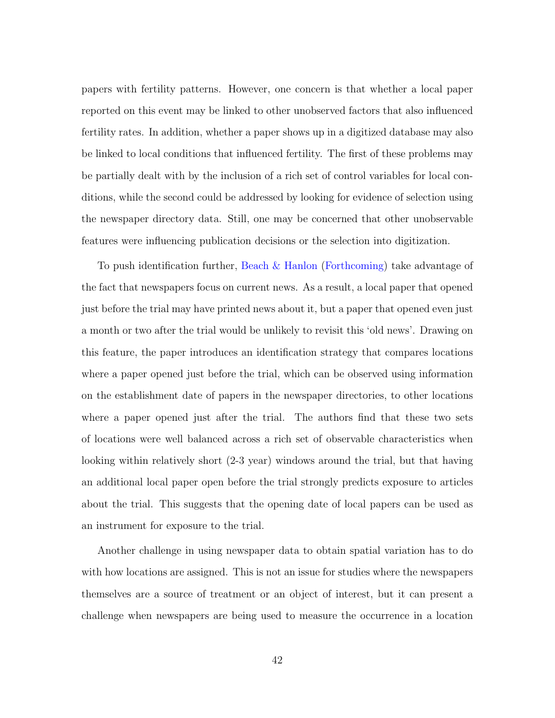papers with fertility patterns. However, one concern is that whether a local paper reported on this event may be linked to other unobserved factors that also influenced fertility rates. In addition, whether a paper shows up in a digitized database may also be linked to local conditions that influenced fertility. The first of these problems may be partially dealt with by the inclusion of a rich set of control variables for local conditions, while the second could be addressed by looking for evidence of selection using the newspaper directory data. Still, one may be concerned that other unobservable features were influencing publication decisions or the selection into digitization.

To push identification further, [Beach & Hanlon](#page-45-2) [\(Forthcoming\)](#page-45-2) take advantage of the fact that newspapers focus on current news. As a result, a local paper that opened just before the trial may have printed news about it, but a paper that opened even just a month or two after the trial would be unlikely to revisit this 'old news'. Drawing on this feature, the paper introduces an identification strategy that compares locations where a paper opened just before the trial, which can be observed using information on the establishment date of papers in the newspaper directories, to other locations where a paper opened just after the trial. The authors find that these two sets of locations were well balanced across a rich set of observable characteristics when looking within relatively short (2-3 year) windows around the trial, but that having an additional local paper open before the trial strongly predicts exposure to articles about the trial. This suggests that the opening date of local papers can be used as an instrument for exposure to the trial.

Another challenge in using newspaper data to obtain spatial variation has to do with how locations are assigned. This is not an issue for studies where the newspapers themselves are a source of treatment or an object of interest, but it can present a challenge when newspapers are being used to measure the occurrence in a location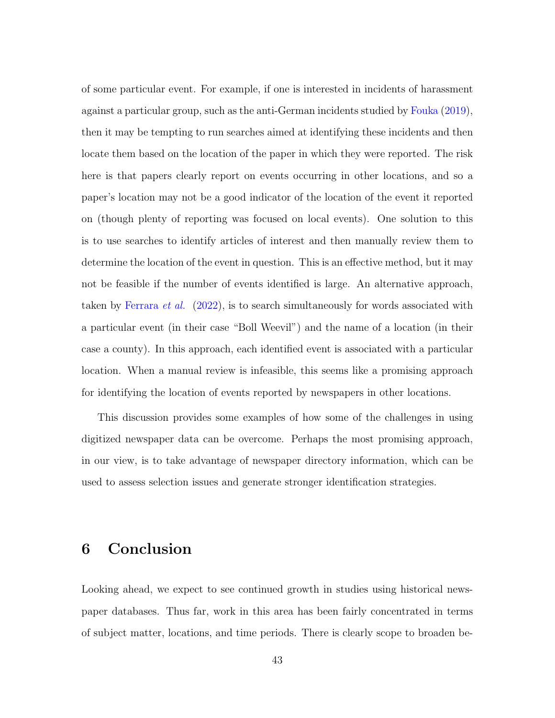of some particular event. For example, if one is interested in incidents of harassment against a particular group, such as the anti-German incidents studied by [Fouka](#page-46-0) [\(2019\)](#page-46-0), then it may be tempting to run searches aimed at identifying these incidents and then locate them based on the location of the paper in which they were reported. The risk here is that papers clearly report on events occurring in other locations, and so a paper's location may not be a good indicator of the location of the event it reported on (though plenty of reporting was focused on local events). One solution to this is to use searches to identify articles of interest and then manually review them to determine the location of the event in question. This is an effective method, but it may not be feasible if the number of events identified is large. An alternative approach, taken by [Ferrara](#page-46-9) *et al.* [\(2022\)](#page-46-9), is to search simultaneously for words associated with a particular event (in their case "Boll Weevil") and the name of a location (in their case a county). In this approach, each identified event is associated with a particular location. When a manual review is infeasible, this seems like a promising approach for identifying the location of events reported by newspapers in other locations.

This discussion provides some examples of how some of the challenges in using digitized newspaper data can be overcome. Perhaps the most promising approach, in our view, is to take advantage of newspaper directory information, which can be used to assess selection issues and generate stronger identification strategies.

### 6 Conclusion

Looking ahead, we expect to see continued growth in studies using historical newspaper databases. Thus far, work in this area has been fairly concentrated in terms of subject matter, locations, and time periods. There is clearly scope to broaden be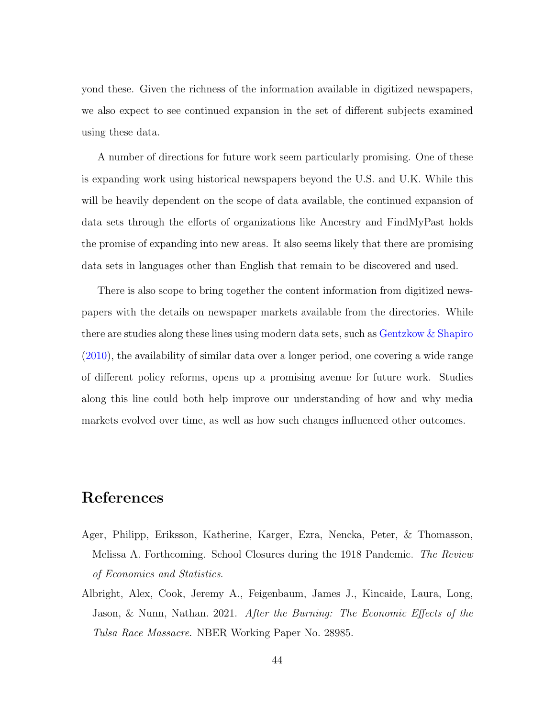yond these. Given the richness of the information available in digitized newspapers, we also expect to see continued expansion in the set of different subjects examined using these data.

A number of directions for future work seem particularly promising. One of these is expanding work using historical newspapers beyond the U.S. and U.K. While this will be heavily dependent on the scope of data available, the continued expansion of data sets through the efforts of organizations like Ancestry and FindMyPast holds the promise of expanding into new areas. It also seems likely that there are promising data sets in languages other than English that remain to be discovered and used.

There is also scope to bring together the content information from digitized newspapers with the details on newspaper markets available from the directories. While there are studies along these lines using modern data sets, such as [Gentzkow & Shapiro](#page-46-10) [\(2010\)](#page-46-10), the availability of similar data over a longer period, one covering a wide range of different policy reforms, opens up a promising avenue for future work. Studies along this line could both help improve our understanding of how and why media markets evolved over time, as well as how such changes influenced other outcomes.

### References

- <span id="page-44-1"></span>Ager, Philipp, Eriksson, Katherine, Karger, Ezra, Nencka, Peter, & Thomasson, Melissa A. Forthcoming. School Closures during the 1918 Pandemic. The Review of Economics and Statistics.
- <span id="page-44-0"></span>Albright, Alex, Cook, Jeremy A., Feigenbaum, James J., Kincaide, Laura, Long, Jason, & Nunn, Nathan. 2021. After the Burning: The Economic Effects of the Tulsa Race Massacre. NBER Working Paper No. 28985.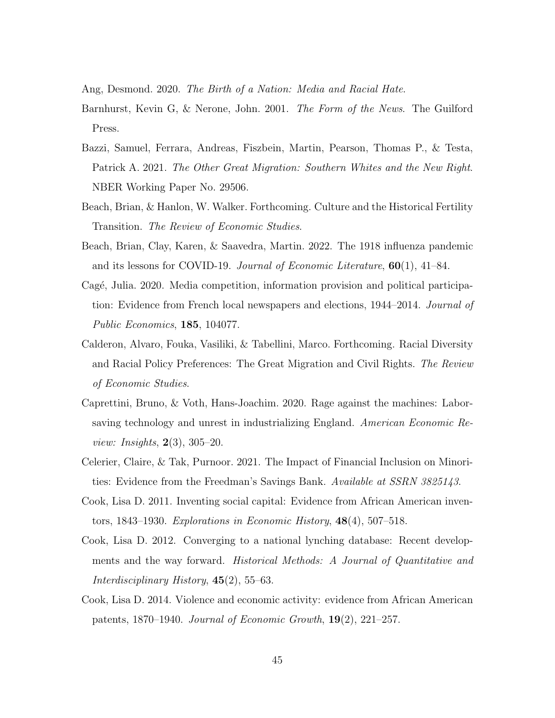<span id="page-45-6"></span><span id="page-45-3"></span>Ang, Desmond. 2020. The Birth of a Nation: Media and Racial Hate.

- Barnhurst, Kevin G, & Nerone, John. 2001. The Form of the News. The Guilford Press.
- <span id="page-45-0"></span>Bazzi, Samuel, Ferrara, Andreas, Fiszbein, Martin, Pearson, Thomas P., & Testa, Patrick A. 2021. The Other Great Migration: Southern Whites and the New Right. NBER Working Paper No. 29506.
- <span id="page-45-2"></span>Beach, Brian, & Hanlon, W. Walker. Forthcoming. Culture and the Historical Fertility Transition. The Review of Economic Studies.
- <span id="page-45-7"></span>Beach, Brian, Clay, Karen, & Saavedra, Martin. 2022. The 1918 influenza pandemic and its lessons for COVID-19. Journal of Economic Literature,  $60(1)$ , 41–84.
- <span id="page-45-5"></span>Cagé, Julia. 2020. Media competition, information provision and political participation: Evidence from French local newspapers and elections, 1944–2014. *Journal of* Public Economics, 185, 104077.
- <span id="page-45-1"></span>Calderon, Alvaro, Fouka, Vasiliki, & Tabellini, Marco. Forthcoming. Racial Diversity and Racial Policy Preferences: The Great Migration and Civil Rights. The Review of Economic Studies.
- <span id="page-45-4"></span>Caprettini, Bruno, & Voth, Hans-Joachim. 2020. Rage against the machines: Laborsaving technology and unrest in industrializing England. American Economic Re*view: Insights*,  $2(3)$ ,  $305-20$ .
- <span id="page-45-8"></span>Celerier, Claire, & Tak, Purnoor. 2021. The Impact of Financial Inclusion on Minorities: Evidence from the Freedman's Savings Bank. Available at SSRN 3825143.
- <span id="page-45-10"></span>Cook, Lisa D. 2011. Inventing social capital: Evidence from African American inventors, 1843–1930. Explorations in Economic History, 48(4), 507–518.
- <span id="page-45-9"></span>Cook, Lisa D. 2012. Converging to a national lynching database: Recent developments and the way forward. *Historical Methods: A Journal of Quantitative and* Interdisciplinary History,  $45(2)$ , 55–63.
- <span id="page-45-11"></span>Cook, Lisa D. 2014. Violence and economic activity: evidence from African American patents, 1870–1940. Journal of Economic Growth, 19(2), 221–257.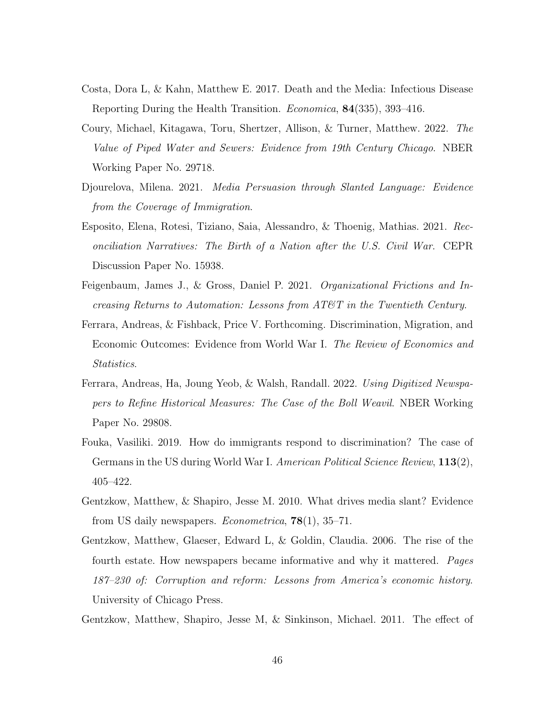- <span id="page-46-8"></span>Costa, Dora L, & Kahn, Matthew E. 2017. Death and the Media: Infectious Disease Reporting During the Health Transition. Economica, 84(335), 393–416.
- <span id="page-46-7"></span>Coury, Michael, Kitagawa, Toru, Shertzer, Allison, & Turner, Matthew. 2022. The Value of Piped Water and Sewers: Evidence from 19th Century Chicago. NBER Working Paper No. 29718.
- <span id="page-46-5"></span>Djourelova, Milena. 2021. Media Persuasion through Slanted Language: Evidence from the Coverage of Immigration.
- <span id="page-46-2"></span>Esposito, Elena, Rotesi, Tiziano, Saia, Alessandro, & Thoenig, Mathias. 2021. Reconciliation Narratives: The Birth of a Nation after the U.S. Civil War. CEPR Discussion Paper No. 15938.
- <span id="page-46-6"></span>Feigenbaum, James J., & Gross, Daniel P. 2021. Organizational Frictions and Increasing Returns to Automation: Lessons from AT&T in the Twentieth Century.
- <span id="page-46-1"></span>Ferrara, Andreas, & Fishback, Price V. Forthcoming. Discrimination, Migration, and Economic Outcomes: Evidence from World War I. The Review of Economics and Statistics.
- <span id="page-46-9"></span>Ferrara, Andreas, Ha, Joung Yeob, & Walsh, Randall. 2022. Using Digitized Newspapers to Refine Historical Measures: The Case of the Boll Weavil. NBER Working Paper No. 29808.
- <span id="page-46-0"></span>Fouka, Vasiliki. 2019. How do immigrants respond to discrimination? The case of Germans in the US during World War I. American Political Science Review, 113(2), 405–422.
- <span id="page-46-10"></span>Gentzkow, Matthew, & Shapiro, Jesse M. 2010. What drives media slant? Evidence from US daily newspapers. Econometrica, 78(1), 35–71.
- <span id="page-46-4"></span>Gentzkow, Matthew, Glaeser, Edward L, & Goldin, Claudia. 2006. The rise of the fourth estate. How newspapers became informative and why it mattered. Pages 187–230 of: Corruption and reform: Lessons from America's economic history. University of Chicago Press.
- <span id="page-46-3"></span>Gentzkow, Matthew, Shapiro, Jesse M, & Sinkinson, Michael. 2011. The effect of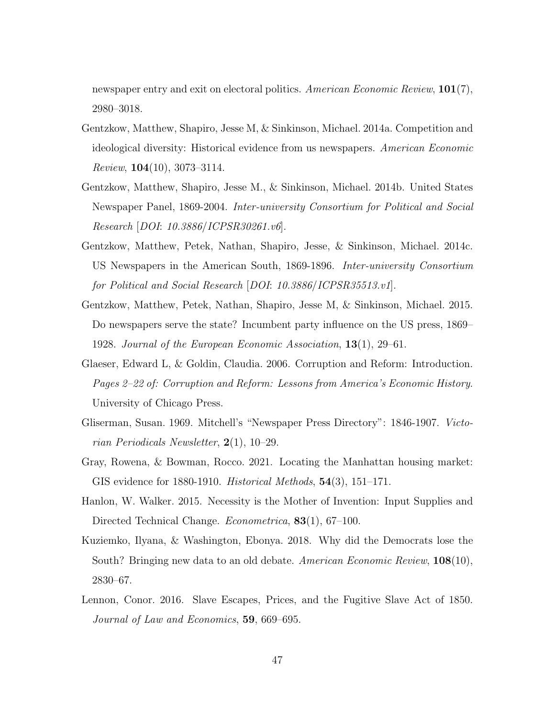newspaper entry and exit on electoral politics. American Economic Review, 101(7), 2980–3018.

- <span id="page-47-1"></span>Gentzkow, Matthew, Shapiro, Jesse M, & Sinkinson, Michael. 2014a. Competition and ideological diversity: Historical evidence from us newspapers. American Economic *Review*,  $104(10)$ , 3073-3114.
- <span id="page-47-8"></span>Gentzkow, Matthew, Shapiro, Jesse M., & Sinkinson, Michael. 2014b. United States Newspaper Panel, 1869-2004. Inter-university Consortium for Political and Social Research [DOI: 10.3886/ICPSR30261.v6].
- <span id="page-47-9"></span>Gentzkow, Matthew, Petek, Nathan, Shapiro, Jesse, & Sinkinson, Michael. 2014c. US Newspapers in the American South, 1869-1896. Inter-university Consortium for Political and Social Research [DOI: 10.3886/ICPSR35513.v1].
- <span id="page-47-5"></span>Gentzkow, Matthew, Petek, Nathan, Shapiro, Jesse M, & Sinkinson, Michael. 2015. Do newspapers serve the state? Incumbent party influence on the US press, 1869– 1928. Journal of the European Economic Association, 13(1), 29–61.
- <span id="page-47-2"></span>Glaeser, Edward L, & Goldin, Claudia. 2006. Corruption and Reform: Introduction. Pages 2–22 of: Corruption and Reform: Lessons from America's Economic History. University of Chicago Press.
- <span id="page-47-7"></span>Gliserman, Susan. 1969. Mitchell's "Newspaper Press Directory": 1846-1907. Victorian Periodicals Newsletter, 2(1), 10–29.
- <span id="page-47-4"></span>Gray, Rowena, & Bowman, Rocco. 2021. Locating the Manhattan housing market: GIS evidence for 1880-1910. Historical Methods, 54(3), 151–171.
- <span id="page-47-6"></span>Hanlon, W. Walker. 2015. Necessity is the Mother of Invention: Input Supplies and Directed Technical Change. *Econometrica*, **83**(1), 67–100.
- <span id="page-47-0"></span>Kuziemko, Ilyana, & Washington, Ebonya. 2018. Why did the Democrats lose the South? Bringing new data to an old debate. American Economic Review, 108(10), 2830–67.
- <span id="page-47-3"></span>Lennon, Conor. 2016. Slave Escapes, Prices, and the Fugitive Slave Act of 1850. Journal of Law and Economics, 59, 669–695.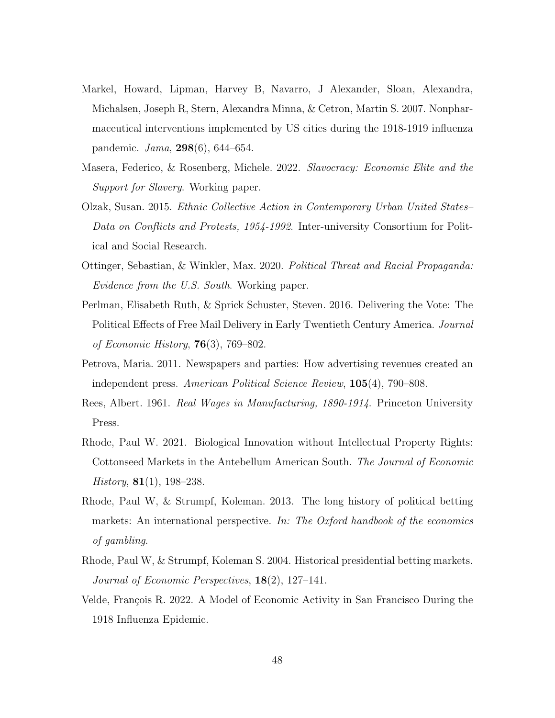- <span id="page-48-0"></span>Markel, Howard, Lipman, Harvey B, Navarro, J Alexander, Sloan, Alexandra, Michalsen, Joseph R, Stern, Alexandra Minna, & Cetron, Martin S. 2007. Nonpharmaceutical interventions implemented by US cities during the 1918-1919 influenza pandemic. Jama, 298(6), 644–654.
- <span id="page-48-4"></span>Masera, Federico, & Rosenberg, Michele. 2022. Slavocracy: Economic Elite and the Support for Slavery. Working paper.
- <span id="page-48-10"></span>Olzak, Susan. 2015. Ethnic Collective Action in Contemporary Urban United States– Data on Conflicts and Protests, 1954-1992. Inter-university Consortium for Political and Social Research.
- <span id="page-48-8"></span>Ottinger, Sebastian, & Winkler, Max. 2020. Political Threat and Racial Propaganda: Evidence from the U.S. South. Working paper.
- <span id="page-48-9"></span>Perlman, Elisabeth Ruth, & Sprick Schuster, Steven. 2016. Delivering the Vote: The Political Effects of Free Mail Delivery in Early Twentieth Century America. Journal of Economic History,  $76(3)$ ,  $769-802$ .
- <span id="page-48-1"></span>Petrova, Maria. 2011. Newspapers and parties: How advertising revenues created an independent press. American Political Science Review, 105(4), 790–808.
- <span id="page-48-7"></span>Rees, Albert. 1961. Real Wages in Manufacturing, 1890-1914. Princeton University Press.
- <span id="page-48-6"></span>Rhode, Paul W. 2021. Biological Innovation without Intellectual Property Rights: Cottonseed Markets in the Antebellum American South. The Journal of Economic History,  $81(1)$ , 198–238.
- <span id="page-48-5"></span>Rhode, Paul W, & Strumpf, Koleman. 2013. The long history of political betting markets: An international perspective. In: The Oxford handbook of the economics of gambling.
- <span id="page-48-3"></span>Rhode, Paul W, & Strumpf, Koleman S. 2004. Historical presidential betting markets. Journal of Economic Perspectives, 18(2), 127–141.
- <span id="page-48-2"></span>Velde, François R. 2022. A Model of Economic Activity in San Francisco During the 1918 Influenza Epidemic.